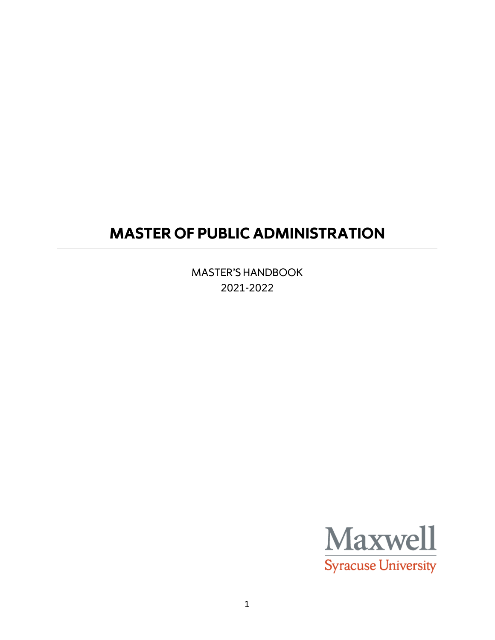# **MASTER OF PUBLIC ADMINISTRATION**

MASTER'S HANDBOOK 2021-2022

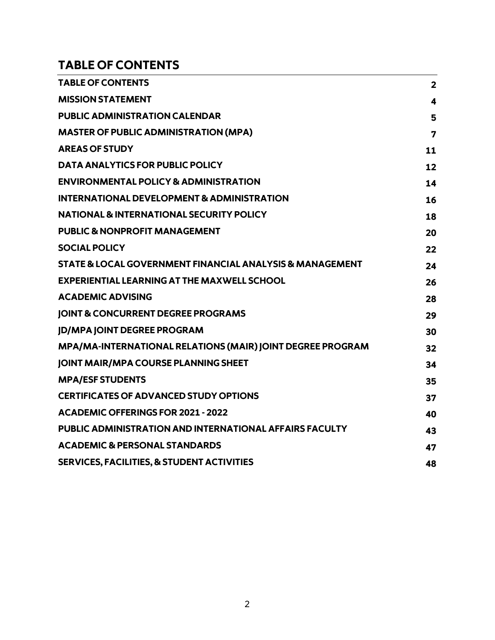# <span id="page-1-0"></span>**TABLE OF CONTENTS**

| <b>TABLE OF CONTENTS</b>                                   | $\overline{2}$          |
|------------------------------------------------------------|-------------------------|
| <b>MISSION STATEMENT</b>                                   | 4                       |
| <b>PUBLIC ADMINISTRATION CALENDAR</b>                      | 5                       |
| <b>MASTER OF PUBLIC ADMINISTRATION (MPA)</b>               | $\overline{\mathbf{z}}$ |
| <b>AREAS OF STUDY</b>                                      | 11                      |
| <b>DATA ANALYTICS FOR PUBLIC POLICY</b>                    | 12                      |
| <b>ENVIRONMENTAL POLICY &amp; ADMINISTRATION</b>           | 14                      |
| <b>INTERNATIONAL DEVELOPMENT &amp; ADMINISTRATION</b>      | 16                      |
| <b>NATIONAL &amp; INTERNATIONAL SECURITY POLICY</b>        | 18                      |
| <b>PUBLIC &amp; NONPROFIT MANAGEMENT</b>                   | 20                      |
| <b>SOCIAL POLICY</b>                                       | 22                      |
| STATE & LOCAL GOVERNMENT FINANCIAL ANALYSIS & MANAGEMENT   | 24                      |
| <b>EXPERIENTIAL LEARNING AT THE MAXWELL SCHOOL</b>         | 26                      |
| <b>ACADEMIC ADVISING</b>                                   | 28                      |
| <b>JOINT &amp; CONCURRENT DEGREE PROGRAMS</b>              | 29                      |
| <b>JD/MPA JOINT DEGREE PROGRAM</b>                         | 30                      |
| MPA/MA-INTERNATIONAL RELATIONS (MAIR) JOINT DEGREE PROGRAM | 32                      |
| <b>JOINT MAIR/MPA COURSE PLANNING SHEET</b>                | 34                      |
| <b>MPA/ESF STUDENTS</b>                                    | 35                      |
| <b>CERTIFICATES OF ADVANCED STUDY OPTIONS</b>              | 37                      |
| <b>ACADEMIC OFFERINGS FOR 2021 - 2022</b>                  | 40                      |
| PUBLIC ADMINISTRATION AND INTERNATIONAL AFFAIRS FACULTY    | 43                      |
| <b>ACADEMIC &amp; PERSONAL STANDARDS</b>                   | 47                      |
| <b>SERVICES, FACILITIES, &amp; STUDENT ACTIVITIES</b>      | 48                      |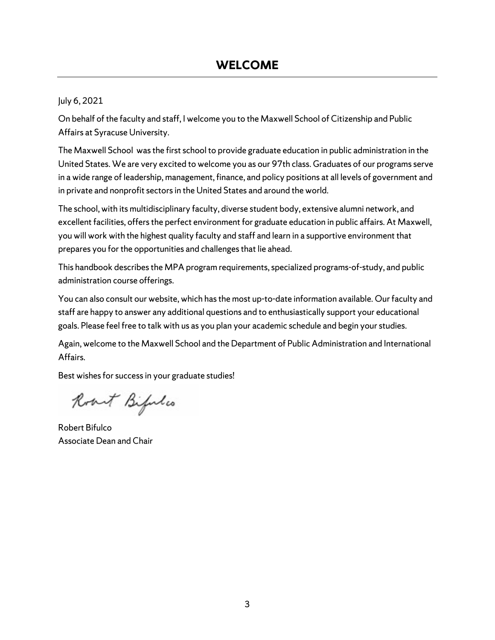## July 6, 2021

On behalf of the faculty and staff, I welcome you to the Maxwell School of Citizenship and Public Affairs at Syracuse University.

The Maxwell School was the first school to provide graduate education in public administration in the United States. We are very excited to welcome you as our 97th class. Graduates of our programs serve in a wide range of leadership, management, finance, and policy positions at all levels of government and in private and nonprofit sectors in the United States and around the world.

The school, with its multidisciplinary faculty, diverse student body, extensive alumni network, and excellent facilities, offers the perfect environment for graduate education in public affairs. At Maxwell, you will work with the highest quality faculty and staff and learn in a supportive environment that prepares you for the opportunities and challenges that lie ahead.

This handbook describes the MPA program requirements, specialized programs-of-study, and public administration course offerings.

You can also consult our website, which has the most up-to-date information available. Our faculty and staff are happy to answer any additional questions and to enthusiastically support your educational goals. Please feel free to talk with us as you plan your academic schedule and begin your studies.

Again, welcome to the Maxwell School and the Department of Public Administration and International Affairs.

Best wishes for success in your graduate studies!

Roat Bifulos

Robert Bifulco Associate Dean and Chair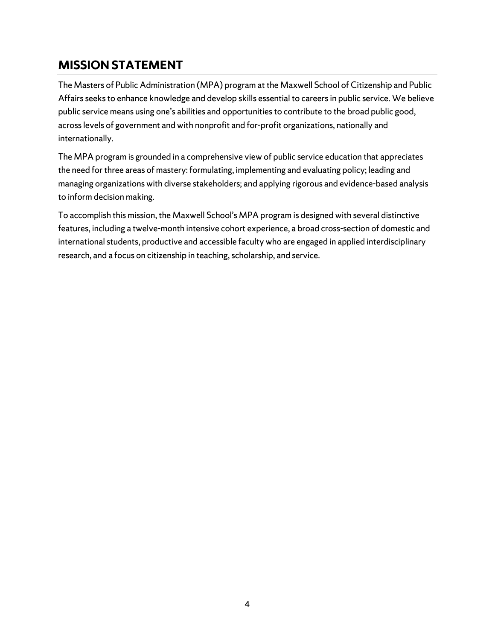# <span id="page-3-0"></span>**MISSION STATEMENT**

The Masters of Public Administration (MPA) program at the Maxwell School of Citizenship and Public Affairs seeks to enhance knowledge and develop skills essential to careers in public service. We believe public service means using one's abilities and opportunities to contribute to the broad public good, across levels of government and with nonprofit and for-profit organizations, nationally and internationally.

The MPA program is grounded in a comprehensive view of public service education that appreciates the need for three areas of mastery: formulating, implementing and evaluating policy; leading and managing organizations with diverse stakeholders; and applying rigorous and evidence-based analysis to inform decision making.

To accomplish this mission, the Maxwell School's MPA program is designed with several distinctive features, including a twelve-month intensive cohort experience, a broad cross-section of domestic and international students, productive and accessible faculty who are engaged in applied interdisciplinary research, and a focus on citizenship in teaching, scholarship, and service.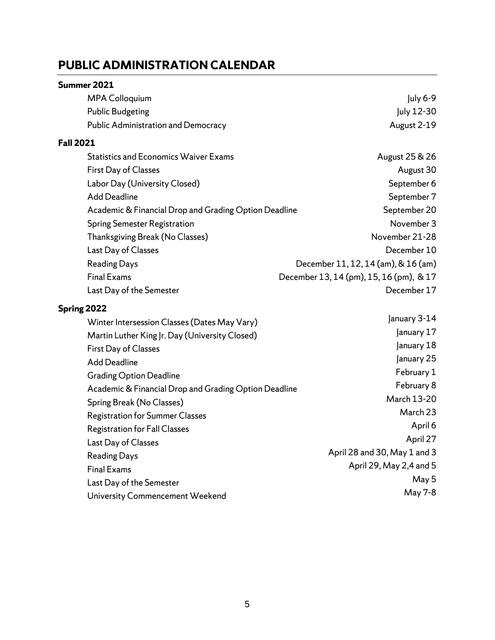# <span id="page-4-0"></span>**PUBLIC ADMINISTRATION CALENDAR**

#### **Summer 2021**

| <b>MPA Colloquium</b>                                 | July 6-9                                |
|-------------------------------------------------------|-----------------------------------------|
| <b>Public Budgeting</b>                               | July 12-30                              |
| <b>Public Administration and Democracy</b>            | August 2-19                             |
| <b>Fall 2021</b>                                      |                                         |
| <b>Statistics and Economics Waiver Exams</b>          | August 25 & 26                          |
| First Day of Classes                                  | August 30                               |
| Labor Day (University Closed)                         | September 6                             |
| <b>Add Deadline</b>                                   | September 7                             |
| Academic & Financial Drop and Grading Option Deadline | September 20                            |
| <b>Spring Semester Registration</b>                   | November 3                              |
| Thanksgiving Break (No Classes)                       | November 21-28                          |
| Last Day of Classes                                   | December 10                             |
| <b>Reading Days</b>                                   | December 11, 12, 14 (am), & 16 (am)     |
| <b>Final Exams</b>                                    | December 13, 14 (pm), 15, 16 (pm), & 17 |
| Last Day of the Semester                              | December 17                             |
| Spring 2022                                           |                                         |
| Winter Intersession Classes (Dates May Vary)          | January 3-14                            |
|                                                       |                                         |

| Willer intersession Classes (Dates May Vary)          |                              |
|-------------------------------------------------------|------------------------------|
| Martin Luther King Jr. Day (University Closed)        | January 17                   |
| <b>First Day of Classes</b>                           | January 18                   |
| <b>Add Deadline</b>                                   | January 25                   |
| <b>Grading Option Deadline</b>                        | February 1                   |
| Academic & Financial Drop and Grading Option Deadline | February 8                   |
| Spring Break (No Classes)                             | March 13-20                  |
| <b>Registration for Summer Classes</b>                | March 23                     |
| <b>Registration for Fall Classes</b>                  | April 6                      |
| Last Day of Classes                                   | April 27                     |
| <b>Reading Days</b>                                   | April 28 and 30, May 1 and 3 |
| <b>Final Exams</b>                                    | April 29, May 2,4 and 5      |
| Last Day of the Semester                              | May 5                        |
| University Commencement Weekend                       | May 7-8                      |
|                                                       |                              |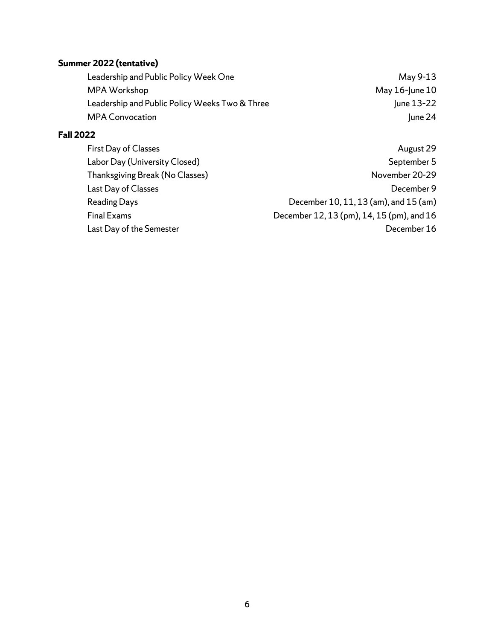# **Summer 2022 (tentative)**

Leadership and Public Policy Week One May 9-13 MPA Workshop May 16-June 10<br>Leadership and Public Policy Weeks Two & Three May 10 June 13-22 Leadership and Public Policy Weeks Two & Three MPA Convocation June 24

# **Fall 2022**

| First Day of Classes            | August 29                                 |
|---------------------------------|-------------------------------------------|
| Labor Day (University Closed)   | September 5                               |
| Thanksgiving Break (No Classes) | November 20-29                            |
| Last Day of Classes             | December 9                                |
| <b>Reading Days</b>             | December 10, 11, 13 (am), and 15 (am)     |
| <b>Final Exams</b>              | December 12, 13 (pm), 14, 15 (pm), and 16 |
| Last Day of the Semester        | December 16                               |
|                                 |                                           |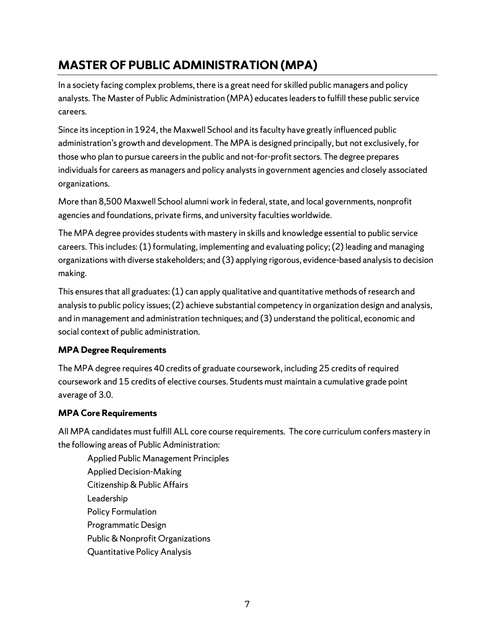# <span id="page-6-0"></span>**MASTER OF PUBLIC ADMINISTRATION (MPA)**

In a society facing complex problems, there is a great need for skilled public managers and policy analysts. The Master of Public Administration (MPA) educatesleadersto fulfill these public service careers.

Since its inception in 1924, the Maxwell School and its faculty have greatly influenced public administration's growth and development. The MPA is designed principally, but not exclusively, for those who plan to pursue careers in the public and not-for-profit sectors. The degree prepares individuals for careers as managers and policy analysts in government agencies and closely associated organizations.

More than 8,500 Maxwell School alumni work in federal, state, and local governments, nonprofit agencies and foundations, private firms, and university faculties worldwide.

The MPA degree provides students with mastery in skills and knowledge essential to public service careers. This includes: (1) formulating, implementing and evaluating policy; (2) leading and managing organizations with diverse stakeholders; and (3) applying rigorous, evidence-based analysis to decision making.

This ensuresthat all graduates:(1) can apply qualitative and quantitative methods of research and analysisto public policy issues;(2) achieve substantial competency in organization design and analysis, and in management and administration techniques; and (3) understand the political, economic and social context of public administration.

## **MPA Degree Requirements**

The MPA degree requires 40 credits of graduate coursework, including 25 credits of required coursework and 15 credits of elective courses. Students must maintain a cumulative grade point average of 3.0.

# **MPA Core Requirements**

All MPA candidates must fulfill ALL core course requirements. The core curriculum confers mastery in the following areas of Public Administration:

Applied Public Management Principles Applied Decision-Making Citizenship & Public Affairs Leadership Policy Formulation Programmatic Design Public & Nonprofit Organizations Quantitative Policy Analysis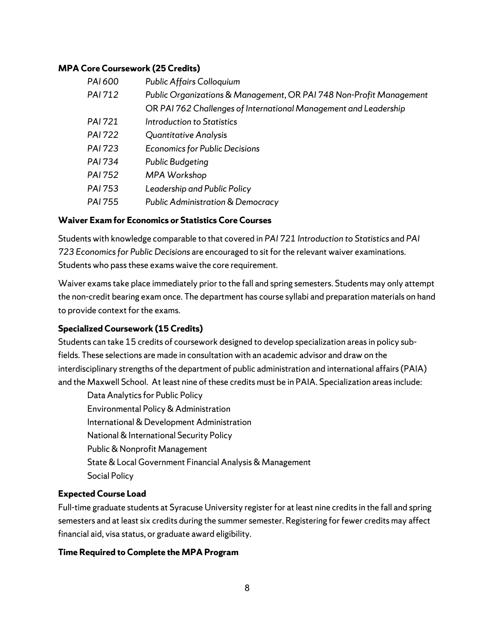#### **MPA Core Coursework (25 Credits)**

| PAI 600        | <b>Public Affairs Colloquium</b>                                    |
|----------------|---------------------------------------------------------------------|
| <b>PAI 712</b> | Public Organizations & Management, OR PAI 748 Non-Profit Management |
|                | OR PAI 762 Challenges of International Management and Leadership    |
| <b>PAI 721</b> | Introduction to Statistics                                          |
| <b>PAI 722</b> | <b>Quantitative Analysis</b>                                        |
| <b>PAI 723</b> | <b>Economics for Public Decisions</b>                               |
| <b>PAI 734</b> | <b>Public Budgeting</b>                                             |
| <b>PAI 752</b> | MPA Workshop                                                        |
| PAI 753        | Leadership and Public Policy                                        |
| PAI 755        | <b>Public Administration &amp; Democracy</b>                        |
|                |                                                                     |

#### **Waiver Exam for Economics or Statistics Core Courses**

Students with knowledge comparable to that covered in *PAI 721 Introduction to Statistics* and *PAI 723 Economics for Public Decisions* are encouraged to sit for the relevant waiver examinations. Students who pass these exams waive the core requirement.

Waiver exams take place immediately prior to the fall and spring semesters. Students may only attempt the non-credit bearing exam once. The department has course syllabi and preparation materials on hand to provide context for the exams.

#### **Specialized Coursework (15 Credits)**

Students can take 15 credits of coursework designed to develop specialization areas in policy subfields. These selections are made in consultation with an academic advisor and draw on the interdisciplinary strengths of the department of public administration and international affairs (PAIA) and the Maxwell School. At least nine of these credits must be in PAIA. Specialization areas include:

Data Analytics for Public Policy Environmental Policy & Administration International & Development Administration National & International Security Policy Public & Nonprofit Management State & Local Government Financial Analysis & Management Social Policy

#### **Expected Course Load**

Full-time graduate students at Syracuse University register for at least nine credits in the fall and spring semesters and at least six credits during the summer semester. Registering for fewer credits may affect financial aid, visa status, or graduate award eligibility.

#### **Time Required to Complete the MPA Program**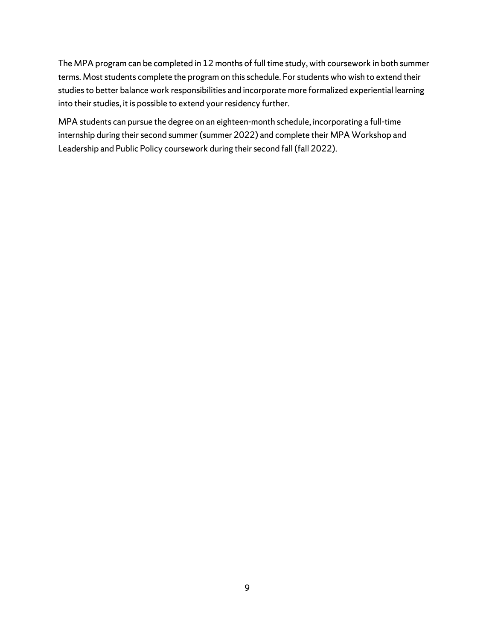The MPA program can be completed in 12 months of full time study, with coursework in both summer terms. Most students complete the program on this schedule. For students who wish to extend their studies to better balance work responsibilities and incorporate more formalized experiential learning into their studies, it is possible to extend your residency further.

MPA students can pursue the degree on an eighteen-month schedule, incorporating a full-time internship during their second summer (summer 2022) and complete their MPA Workshop and Leadership and Public Policy coursework during their second fall (fall 2022).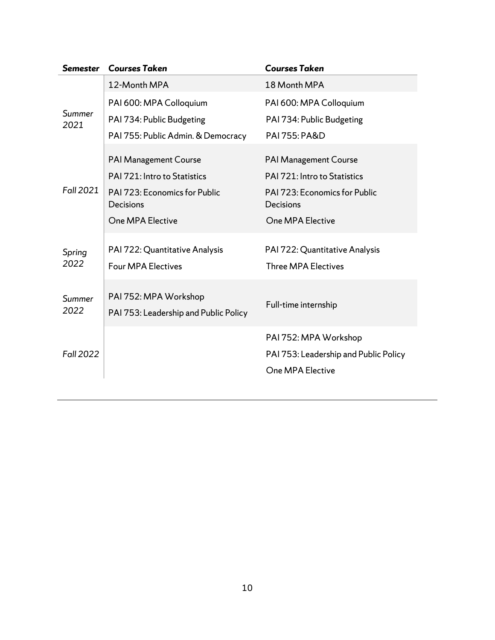| <b>Semester</b>  | <b>Courses Taken</b>                                           | <b>Courses Taken</b>                                         |
|------------------|----------------------------------------------------------------|--------------------------------------------------------------|
|                  | 12-Month MPA                                                   | 18 Month MPA                                                 |
| Summer<br>2021   | PAI 600: MPA Colloquium                                        | PAI 600: MPA Colloquium                                      |
|                  | PAI 734: Public Budgeting                                      | PAI 734: Public Budgeting                                    |
|                  | PAI 755: Public Admin. & Democracy                             | <b>PAI 755: PA&amp;D</b>                                     |
|                  | PAI Management Course                                          | <b>PAI Management Course</b>                                 |
|                  | PAI 721: Intro to Statistics                                   | PAI 721: Intro to Statistics                                 |
| <b>Fall 2021</b> | <b>PAI 723: Economics for Public</b><br>Decisions              | <b>PAI 723: Economics for Public</b><br>Decisions            |
|                  | One MPA Elective                                               | One MPA Elective                                             |
| Spring<br>2022   | PAI 722: Quantitative Analysis<br><b>Four MPA Electives</b>    | PAI 722: Quantitative Analysis<br><b>Three MPA Electives</b> |
| Summer<br>2022   | PAI 752: MPA Workshop<br>PAI 753: Leadership and Public Policy | Full-time internship                                         |
|                  |                                                                | PAI 752: MPA Workshop                                        |
| <b>Fall 2022</b> |                                                                | PAI 753: Leadership and Public Policy                        |
|                  |                                                                | One MPA Elective                                             |
|                  |                                                                |                                                              |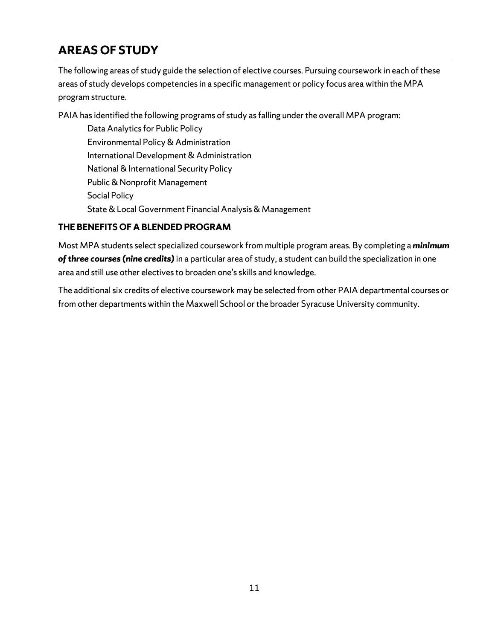# <span id="page-10-0"></span>**AREAS OF STUDY**

The following areas of study guide the selection of elective courses. Pursuing coursework in each of these areas of study develops competencies in a specific management or policy focus area within the MPA program structure.

PAIA has identified the following programs of study as falling under the overall MPA program:

Data Analytics for Public Policy Environmental Policy & Administration International Development & Administration National & International Security Policy Public & Nonprofit Management Social Policy State & Local Government Financial Analysis & Management

# **THE BENEFITS OF A BLENDED PROGRAM**

Most MPA students select specialized coursework from multiple program areas. By completing a *minimum of three courses (nine credits)* in a particular area of study, a student can build the specialization in one area and still use other electives to broaden one's skills and knowledge.

The additional six credits of elective coursework may be selected from other PAIA departmental courses or from other departments within the Maxwell School or the broader Syracuse University community.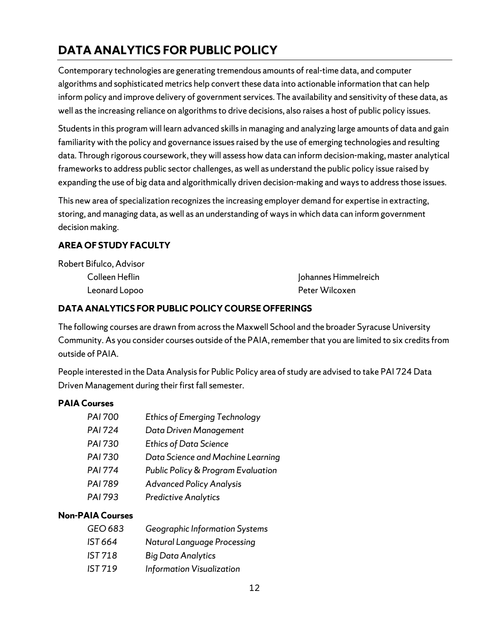# <span id="page-11-0"></span>**DATA ANALYTICS FOR PUBLIC POLICY**

Contemporary technologies are generating tremendous amounts of real-time data, and computer algorithms and sophisticated metrics help convert these data into actionable information that can help inform policy and improve delivery of government services. The availability and sensitivity of these data, as well as the increasing reliance on algorithms to drive decisions, also raises a host of public policy issues.

Students in this program will learn advanced skills in managing and analyzing large amounts of data and gain familiarity with the policy and governance issues raised by the use of emerging technologies and resulting data. Through rigorous coursework, they will assess how data can inform decision-making, master analytical frameworks to address public sector challenges, as well as understand the public policy issue raised by expanding the use of big data and algorithmically driven decision-making and ways to address those issues.

This new area of specialization recognizes the increasing employer demand for expertise in extracting, storing, and managing data, as well as an understanding of ways in which data can inform government decision making.

## **AREA OF STUDY FACULTY**

| Robert Bifulco, Advisor |                      |
|-------------------------|----------------------|
| Colleen Heflin          | Johannes Himmelreich |
| Leonard Lopoo           | Peter Wilcoxen       |

## **DATA ANALYTICS FOR PUBLIC POLICY COURSE OFFERINGS**

The following courses are drawn from acrossthe Maxwell School and the broader Syracuse University Community. As you consider courses outside of the PAIA, remember that you are limited to six credits from outside of PAIA.

People interested in the Data Analysis for Public Policy area of study are advised to take PAI 724 Data Driven Management during their first fall semester.

## **PAIA Courses**

| PAI 700        | <b>Ethics of Emerging Technology</b> |
|----------------|--------------------------------------|
| <b>PAI 724</b> | Data Driven Management               |
| PAI 730        | <b>Ethics of Data Science</b>        |
| PAI 730        | Data Science and Machine Learning    |
| <b>PAI 774</b> | Public Policy & Program Evaluation   |
| PAI 789        | <b>Advanced Policy Analysis</b>      |
| <b>PAI 793</b> | <b>Predictive Analytics</b>          |
|                |                                      |

## **Non-PAIA Courses**

*GEO 683 Geographic Information Systems IST 664 Natural Language Processing IST 718 Big Data Analytics IST 719 Information Visualization*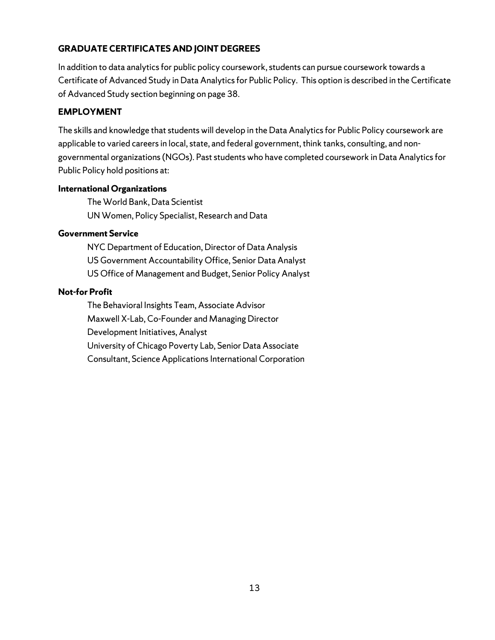## **GRADUATE CERTIFICATES AND JOINT DEGREES**

In addition to data analytics for public policy coursework, students can pursue coursework towards a Certificate of Advanced Study in Data Analytics for Public Policy. This option is described in the Certificate of Advanced Study section beginning on page 38.

### **EMPLOYMENT**

The skills and knowledge that students will develop in the Data Analytics for Public Policy coursework are applicable to varied careers in local, state, and federal government, think tanks, consulting, and nongovernmental organizations (NGOs). Past students who have completed coursework in Data Analytics for Public Policy hold positions at:

#### **International Organizations**

The World Bank, Data Scientist UN Women, Policy Specialist, Research and Data

#### **Government Service**

NYC Department of Education, Director of Data Analysis US Government Accountability Office, Senior Data Analyst US Office of Management and Budget, Senior Policy Analyst

#### **Not-for Profit**

The Behavioral Insights Team, Associate Advisor Maxwell X-Lab, Co-Founder and Managing Director Development Initiatives, Analyst University of Chicago Poverty Lab, Senior Data Associate Consultant, Science Applications International Corporation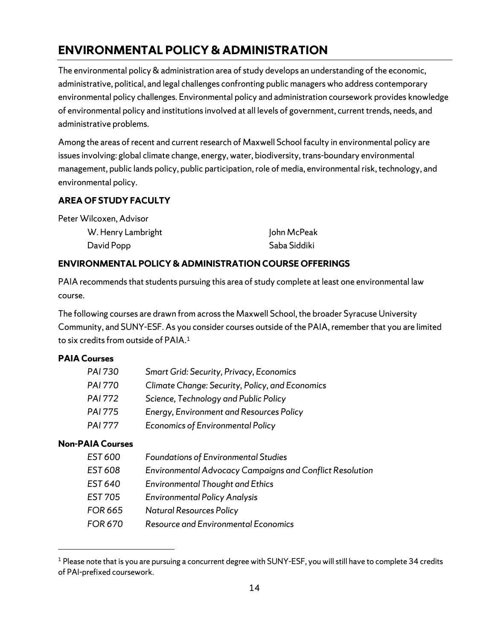# <span id="page-13-0"></span>**ENVIRONMENTAL POLICY & ADMINISTRATION**

The environmental policy & administration area of study develops an understanding of the economic, administrative, political, and legal challenges confronting public managers who address contemporary environmental policy challenges. Environmental policy and administration coursework provides knowledge of environmental policy and institutions involved at all levels of government, current trends, needs, and administrative problems.

Among the areas of recent and current research of Maxwell School faculty in environmental policy are issues involving: global climate change, energy, water, biodiversity, trans-boundary environmental management, public lands policy, public participation, role of media, environmental risk, technology, and environmental policy.

## **AREA OF STUDY FACULTY**

Peter Wilcoxen, Advisor

| W. Henry Lambright | John McPeak  |
|--------------------|--------------|
| David Popp         | Saba Siddiki |

## **ENVIRONMENTAL POLICY &ADMINISTRATION COURSE OFFERINGS**

PAIA recommends that students pursuing this area of study complete at least one environmental law course.

The following courses are drawn from across the Maxwell School, the broader Syracuse University Community, and SUNY-ESF. As you consider courses outside of the PAIA, remember that you are limited to six credits from outside of PAIA.<sup>[1](#page-13-1)</sup>

#### **PAIA Courses**

| <b>PAI 730</b> | <b>Smart Grid: Security, Privacy, Economics</b> |
|----------------|-------------------------------------------------|
| <b>PAI 770</b> | Climate Change: Security, Policy, and Economics |
| <b>PAI 772</b> | Science, Technology and Public Policy           |
| <b>PAI 775</b> | <b>Energy, Environment and Resources Policy</b> |
| <b>PAI 777</b> | <b>Economics of Environmental Policy</b>        |

## **Non-PAIA Courses**

| EST 600        | <b>Foundations of Environmental Studies</b>                     |
|----------------|-----------------------------------------------------------------|
| EST 608        | <b>Environmental Advocacy Campaigns and Conflict Resolution</b> |
| EST 640        | <b>Environmental Thought and Ethics</b>                         |
| <b>EST 705</b> | <b>Environmental Policy Analysis</b>                            |
| <b>FOR 665</b> | <b>Natural Resources Policy</b>                                 |
| <b>FOR 670</b> | <b>Resource and Environmental Economics</b>                     |

<span id="page-13-1"></span><sup>&</sup>lt;sup>1</sup> Please note that is you are pursuing a concurrent degree with SUNY-ESF, you will still have to complete 34 credits of PAI-prefixed coursework.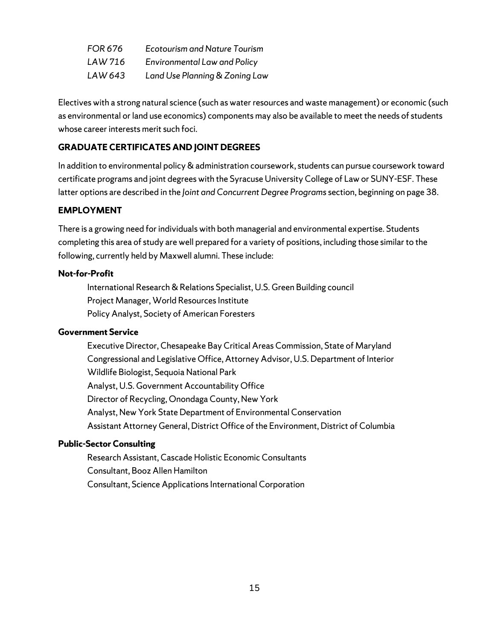| <b>FOR 676</b> | <b>Ecotourism and Nature Tourism</b> |
|----------------|--------------------------------------|
| LAW 716        | <b>Environmental Law and Policy</b>  |
| LAW 643        | Land Use Planning & Zoning Law       |

Electives with a strong natural science (such as water resources and waste management) or economic (such as environmental or land use economics) components may also be available to meet the needs of students whose career interests merit such foci.

#### **GRADUATE CERTIFICATES AND JOINT DEGREES**

In addition to environmental policy & administration coursework, students can pursue coursework toward certificate programs and joint degrees with the Syracuse University College of Law or SUNY-ESF. These latter options are described in the *Joint and Concurrent Degree Programs* section, beginning on page 38.

## **EMPLOYMENT**

There is a growing need for individuals with both managerial and environmental expertise. Students completing this area of study are well prepared for a variety of positions, including those similar to the following, currently held by Maxwell alumni. These include:

#### **Not-for-Profit**

International Research & Relations Specialist, U.S. Green Building council Project Manager, World Resources Institute Policy Analyst, Society of American Foresters

#### **Government Service**

Executive Director, Chesapeake Bay Critical Areas Commission, State of Maryland Congressional and Legislative Office, Attorney Advisor, U.S. Department of Interior Wildlife Biologist, Sequoia National Park Analyst, U.S. Government Accountability Office Director of Recycling, Onondaga County, New York Analyst, New York State Department of Environmental Conservation Assistant Attorney General, District Office of the Environment, District of Columbia

#### **Public-Sector Consulting**

Research Assistant, Cascade Holistic Economic Consultants Consultant, Booz Allen Hamilton Consultant, Science Applications International Corporation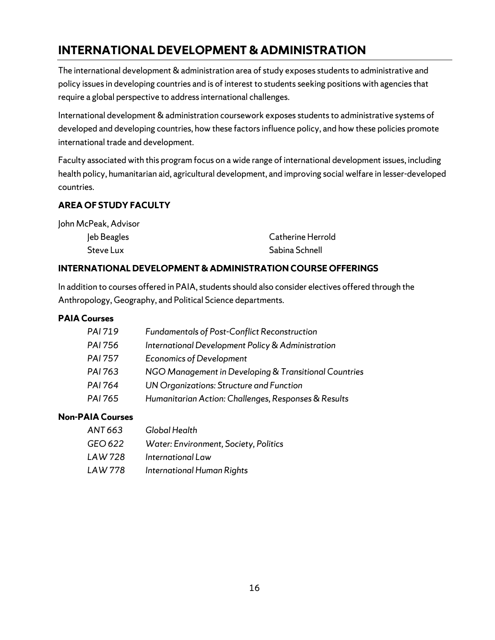# <span id="page-15-0"></span>**INTERNATIONAL DEVELOPMENT & ADMINISTRATION**

The international development & administration area of study exposes students to administrative and policy issues in developing countries and is of interest to students seeking positions with agencies that require a global perspective to address international challenges.

International development & administration coursework exposes students to administrative systems of developed and developing countries, how these factors influence policy, and how these policies promote international trade and development.

Faculty associated with this program focus on a wide range of international development issues, including health policy, humanitarian aid, agricultural development, and improving social welfare in lesser-developed countries.

## **AREA OF STUDY FACULTY**

| John McPeak, Advisor |                   |
|----------------------|-------------------|
| Jeb Beagles          | Catherine Herrold |
| Steve Lux            | Sabina Schnell    |

## **INTERNATIONAL DEVELOPMENT & ADMINISTRATION COURSE OFFERINGS**

In addition to courses offered in PAIA, students should also consider electives offered through the Anthropology, Geography, and Political Science departments.

### **PAIA Courses**

| PAI 719        | <b>Fundamentals of Post-Conflict Reconstruction</b>   |
|----------------|-------------------------------------------------------|
| PAI 756        | International Development Policy & Administration     |
| <b>PAI 757</b> | <b>Economics of Development</b>                       |
| PAI 763        | NGO Management in Developing & Transitional Countries |
| PAI 764        | UN Organizations: Structure and Function              |
| PAI 765        | Humanitarian Action: Challenges, Responses & Results  |

## **Non-PAIA Courses**

| ANT 663 | Global Health                         |
|---------|---------------------------------------|
| GEO 622 | Water: Environment, Society, Politics |
| LAW 728 | International Law                     |
| LAW 778 | International Human Rights            |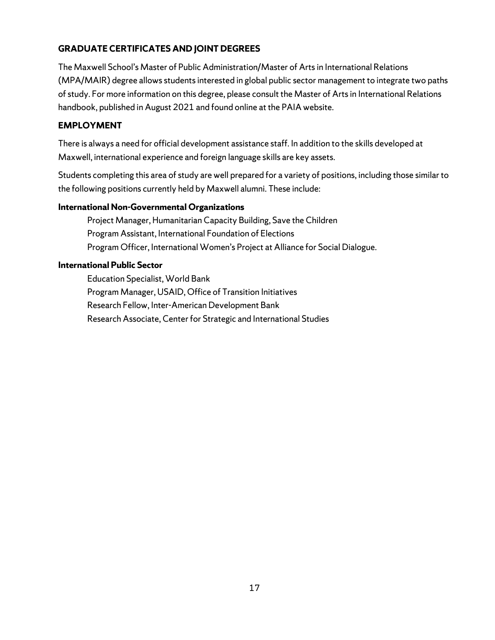# **GRADUATE CERTIFICATES AND JOINT DEGREES**

The Maxwell School's Master of Public Administration/Master of Arts in International Relations (MPA/MAIR) degree allows students interested in global public sector management to integrate two paths of study. For more information on this degree, please consult the Master of Arts in International Relations handbook, published in August 2021 and found online at the PAIA website.

## **EMPLOYMENT**

There is always a need for official development assistance staff. In addition to the skills developed at Maxwell, international experience and foreign language skills are key assets.

Students completing this area of study are well prepared for a variety of positions, including those similar to the following positions currently held by Maxwell alumni. These include:

### **International Non-Governmental Organizations**

Project Manager, Humanitarian Capacity Building, Save the Children Program Assistant, International Foundation of Elections Program Officer, International Women's Project at Alliance for Social Dialogue.

### **International Public Sector**

Education Specialist, World Bank Program Manager, USAID, Office of Transition Initiatives Research Fellow, Inter-American Development Bank Research Associate, Center for Strategic and International Studies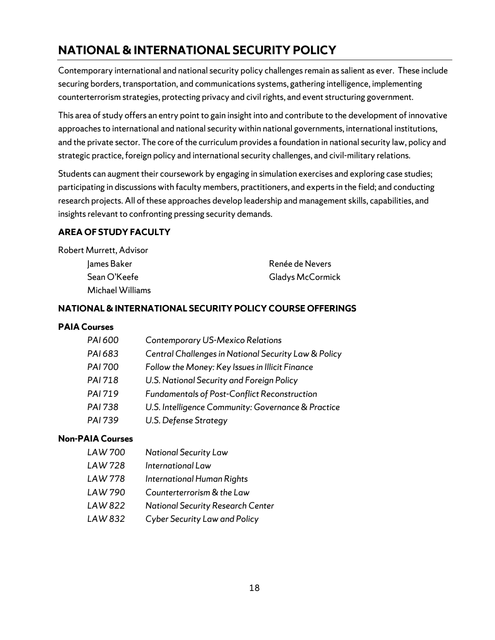# <span id="page-17-0"></span>**NATIONAL & INTERNATIONAL SECURITY POLICY**

Contemporary international and national security policy challenges remain as salient as ever. These include securing borders, transportation, and communications systems, gathering intelligence, implementing counterterrorism strategies, protecting privacy and civil rights, and event structuring government.

This area of study offers an entry point to gain insight into and contribute to the development of innovative approaches to international and national security within national governments, international institutions, and the private sector. The core of the curriculum provides a foundation in national security law, policy and strategic practice, foreign policy and international security challenges, and civil-military relations.

Students can augment their coursework by engaging in simulation exercises and exploring case studies; participating in discussions with faculty members, practitioners, and experts in the field; and conducting research projects. All of these approaches develop leadership and management skills, capabilities, and insights relevant to confronting pressing security demands.

## **AREA OF STUDY FACULTY**

| Robert Murrett, Advisor |                  |
|-------------------------|------------------|
| James Baker             | Renée de Nevers  |
| Sean O'Keefe            | Gladys McCormick |
| Michael Williams        |                  |

## **NATIONAL& INTERNATIONAL SECURITY POLICY COURSE OFFERINGS**

#### **PAIA Courses**

| PAI 683<br>Central Challenges in National Security Law & Policy   |
|-------------------------------------------------------------------|
|                                                                   |
| <b>PAI 700</b><br>Follow the Money: Key Issues in Illicit Finance |
| PAI 718<br>U.S. National Security and Foreign Policy              |
| PAI 719<br><b>Fundamentals of Post-Conflict Reconstruction</b>    |
| PAI 738<br>U.S. Intelligence Community: Governance & Practice     |
| PAI 739<br>U.S. Defense Strategy                                  |

## **Non-PAIA Courses**

- *LAW 700 National Security Law*
- *LAW 728 International Law*
- *LAW 778 International Human Rights*
- *LAW 790 Counterterrorism & the Law*
- *LAW 822 National Security Research Center*
- *LAW 832 Cyber Security Law and Policy*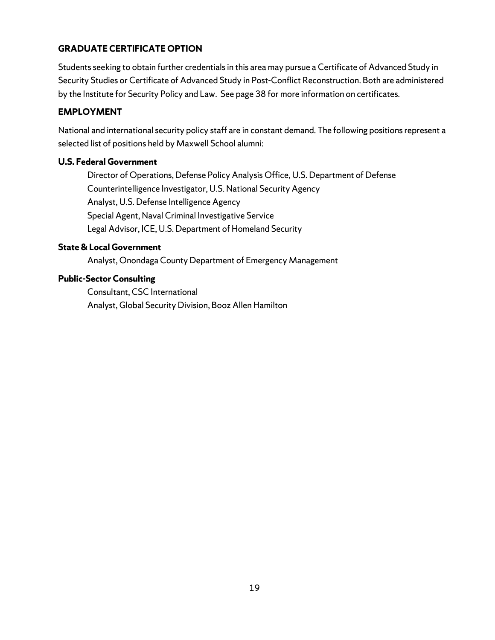## **GRADUATE CERTIFICATE OPTION**

Students seeking to obtain further credentials in this area may pursue a Certificate of Advanced Study in Security Studies or Certificate of Advanced Study in Post-Conflict Reconstruction. Both are administered by the Institute for Security Policy and Law. See page 38 for more information on certificates.

## **EMPLOYMENT**

National and international security policy staff are in constant demand. The following positions represent a selected list of positions held by Maxwell School alumni:

### **U.S. Federal Government**

Director of Operations, Defense Policy Analysis Office, U.S. Department of Defense Counterintelligence Investigator, U.S. National Security Agency Analyst, U.S. Defense Intelligence Agency Special Agent, Naval Criminal Investigative Service Legal Advisor, ICE, U.S. Department of Homeland Security

## **State &Local Government**

Analyst, Onondaga County Department of Emergency Management

### **Public-Sector Consulting**

Consultant, CSC International Analyst, Global Security Division, Booz Allen Hamilton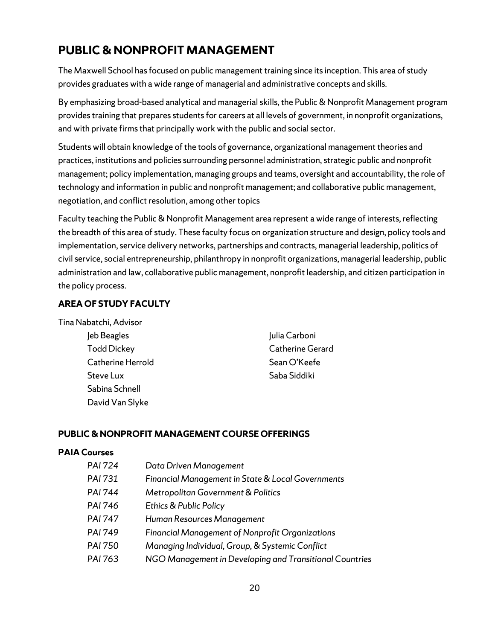# <span id="page-19-0"></span>**PUBLIC & NONPROFIT MANAGEMENT**

The Maxwell School has focused on public management training since its inception. This area of study provides graduates with a wide range of managerial and administrative concepts and skills.

By emphasizing broad-based analytical and managerial skills, the Public & Nonprofit Management program provides training that prepares students for careers at all levels of government, in nonprofit organizations, and with private firms that principally work with the public and social sector.

Students will obtain knowledge of the tools of governance, organizational management theories and practices, institutions and policies surrounding personnel administration, strategic public and nonprofit management; policy implementation, managing groups and teams, oversight and accountability, the role of technology and information in public and nonprofit management; and collaborative public management, negotiation, and conflict resolution, among other topics

Faculty teaching the Public & Nonprofit Management area represent a wide range of interests, reflecting the breadth of this area of study. These faculty focus on organization structure and design, policy tools and implementation, service delivery networks, partnerships and contracts, managerial leadership, politics of civil service, social entrepreneurship, philanthropy in nonprofit organizations, managerial leadership, public administration and law, collaborative public management, nonprofit leadership, and citizen participation in the policy process.

## **AREA OF STUDY FACULTY**

Tina Nabatchi, Advisor

Jeb Beagles Todd Dickey Catherine Herrold Steve Lux Sabina Schnell David Van Slyke

Julia Carboni Catherine Gerard Sean O'Keefe Saba Siddiki

## **PUBLIC & NONPROFIT MANAGEMENT COURSE OFFERINGS**

#### **PAIA Courses**

| PAI 724 | Data Driven Management                                  |
|---------|---------------------------------------------------------|
| PAI 731 | Financial Management in State & Local Governments       |
| PAI 744 | Metropolitan Government & Politics                      |
| PAI 746 | Ethics & Public Policy                                  |
| PAI 747 | Human Resources Management                              |
| PAI 749 | <b>Financial Management of Nonprofit Organizations</b>  |
| PAI 750 | Managing Individual, Group, & Systemic Conflict         |
| PAI 763 | NGO Management in Developing and Transitional Countries |
|         |                                                         |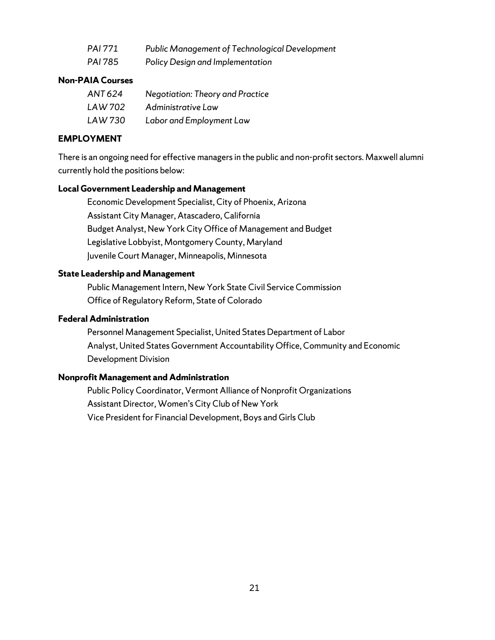| PAI 771        | Public Management of Technological Development |
|----------------|------------------------------------------------|
| <b>PAI 785</b> | Policy Design and Implementation               |

#### **Non-PAIA Courses**

| ANT 624 | <b>Negotiation: Theory and Practice</b> |
|---------|-----------------------------------------|
| LAW 702 | Administrative Law                      |
| LAW 730 | Labor and Employment Law                |

#### **EMPLOYMENT**

There is an ongoing need for effective managers in the public and non-profit sectors. Maxwell alumni currently hold the positions below:

#### **Local Government Leadership and Management**

Economic Development Specialist, City of Phoenix, Arizona Assistant City Manager, Atascadero, California Budget Analyst, New York City Office of Management and Budget Legislative Lobbyist, Montgomery County, Maryland Juvenile Court Manager, Minneapolis, Minnesota

#### **State Leadership and Management**

Public Management Intern, New York State Civil Service Commission Office of Regulatory Reform, State of Colorado

#### **Federal Administration**

Personnel Management Specialist, United States Department of Labor Analyst, United States Government Accountability Office, Community and Economic Development Division

#### **Nonprofit Management and Administration**

Public Policy Coordinator, Vermont Alliance of Nonprofit Organizations Assistant Director, Women's City Club of New York Vice President for Financial Development, Boys and Girls Club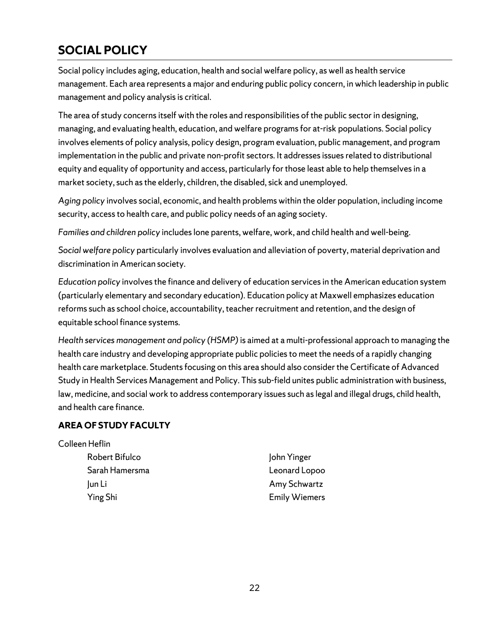# <span id="page-21-0"></span>**SOCIAL POLICY**

Social policy includes aging, education, health and social welfare policy, as well as health service management. Each area represents a major and enduring public policy concern, in which leadership in public management and policy analysis is critical.

The area of study concerns itself with the roles and responsibilities of the public sector in designing, managing, and evaluating health, education, and welfare programs for at-risk populations. Social policy involves elements of policy analysis, policy design, program evaluation, public management, and program implementation in the public and private non-profit sectors. It addresses issues related to distributional equity and equality of opportunity and access, particularly for those least able to help themselves in a market society, such as the elderly, children, the disabled, sick and unemployed.

*Aging policy* involves social, economic, and health problems within the older population, including income security, access to health care, and public policy needs of an aging society.

*Families and children policy* includes lone parents, welfare, work, and child health and well-being.

*Social welfare policy* particularly involves evaluation and alleviation of poverty, material deprivation and discrimination in American society.

*Education policy* involves the finance and delivery of education services in the American education system (particularly elementary and secondary education). Education policy at Maxwell emphasizes education reforms such as school choice, accountability, teacher recruitment and retention, and the design of equitable school finance systems.

*Health services management and policy (HSMP)*is aimed at a multi-professional approach to managing the health care industry and developing appropriate public policies to meet the needs of a rapidly changing health care marketplace. Students focusing on this area should also consider the Certificate of Advanced Study in Health Services Management and Policy. This sub-field unites public administration with business, law, medicine, and social work to address contemporary issues such as legal and illegal drugs, child health, and health care finance.

## **AREA OF STUDY FACULTY**

#### Colleen Heflin

| Robert Bifulco | John Yinger          |
|----------------|----------------------|
| Sarah Hamersma | Leonard Lopoo        |
| lun Li         | Amy Schwartz         |
| Ying Shi       | <b>Emily Wiemers</b> |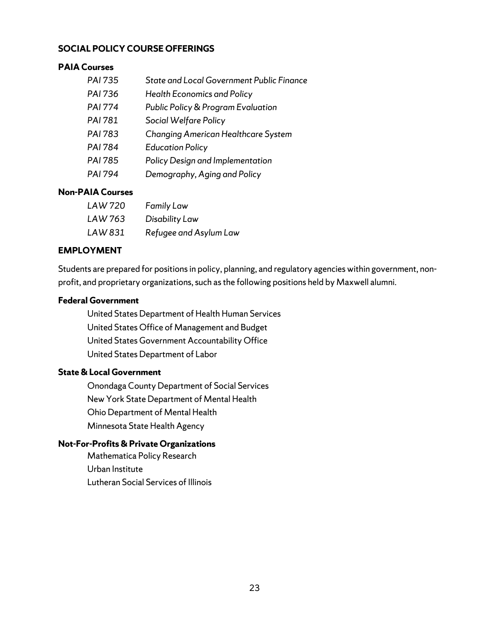#### **SOCIAL POLICY COURSE OFFERINGS**

#### **PAIA Courses**

| <b>PAI 735</b> | <b>State and Local Government Public Finance</b> |
|----------------|--------------------------------------------------|
| PAI 736        | <b>Health Economics and Policy</b>               |
| <b>PAI 774</b> | Public Policy & Program Evaluation               |
| <b>PAI 781</b> | Social Welfare Policy                            |
| PAI 783        | <b>Changing American Healthcare System</b>       |
| <b>PAI 784</b> | <b>Education Policy</b>                          |
| PAI 785        | Policy Design and Implementation                 |
| <b>PAI 794</b> | Demography, Aging and Policy                     |

## **Non-PAIA Courses**

| LAW 720 | <b>Family Law</b>      |
|---------|------------------------|
| LAW 763 | Disability Law         |
| LAW 831 | Refugee and Asylum Law |

#### **EMPLOYMENT**

Students are prepared for positions in policy, planning, and regulatory agencies within government, nonprofit, and proprietary organizations, such as the following positions held by Maxwell alumni.

#### **Federal Government**

United StatesDepartment of Health Human Services United States Office of Management and Budget United States Government Accountability Office United States Department of Labor

#### **State& Local Government**

Onondaga County Department of Social Services New York State Department of Mental Health Ohio Department of Mental Health Minnesota State Health Agency

### **Not-For-Profits & Private Organizations**

Mathematica Policy Research Urban Institute Lutheran Social Services of Illinois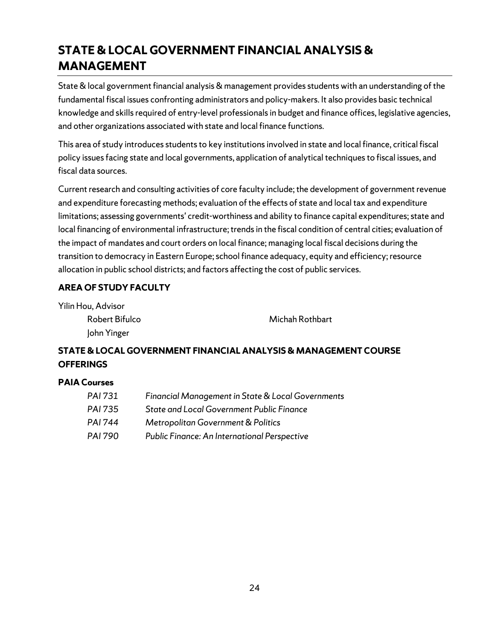# <span id="page-23-0"></span>**STATE &LOCAL GOVERNMENT FINANCIAL ANALYSIS & MANAGEMENT**

State & local government financial analysis & management provides students with an understanding of the fundamental fiscal issues confronting administrators and policy-makers. It also provides basic technical knowledge and skills required of entry-level professionals in budget and finance offices, legislative agencies, and other organizations associated with state and local finance functions.

This area of study introduces students to key institutions involved in state and local finance, critical fiscal policy issues facing state and local governments, application of analytical techniques to fiscal issues, and fiscal data sources.

Current research and consulting activities of core faculty include; the development of government revenue and expenditure forecasting methods; evaluation of the effects of state and local tax and expenditure limitations; assessing governments' credit-worthiness and ability to finance capital expenditures; state and local financing of environmental infrastructure; trends in the fiscal condition of central cities; evaluation of the impact of mandates and court orders on local finance; managing local fiscal decisions during the transition to democracy in Eastern Europe; school finance adequacy, equity and efficiency; resource allocation in public school districts; and factors affecting the cost of public services.

## **AREA OF STUDY FACULTY**

Yilin Hou, Advisor Robert Bifulco John Yinger

Michah Rothbart

# **STATE &LOCAL GOVERNMENT FINANCIAL ANALYSIS & MANAGEMENT COURSE OFFERINGS**

#### **PAIA Courses**

| PAI 731 | Financial Management in State & Local Governments |
|---------|---------------------------------------------------|
| PAI 735 | <b>State and Local Government Public Finance</b>  |
| PAI 744 | Metropolitan Government & Politics                |
| PAI 790 | Public Finance: An International Perspective      |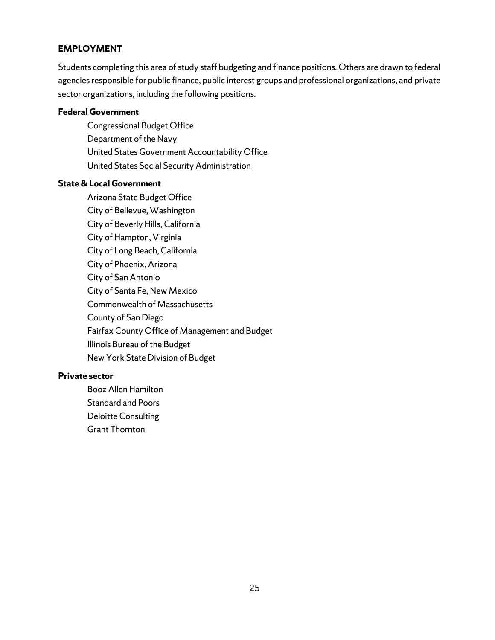#### **EMPLOYMENT**

Students completing this area of study staff budgeting and finance positions. Others are drawn to federal agencies responsible for public finance, public interest groups and professional organizations, and private sector organizations, including the following positions.

#### **Federal Government**

Congressional Budget Office Department of the Navy United States Government Accountability Office United States Social Security Administration

#### **State &Local Government**

Arizona State Budget Office City of Bellevue, Washington City of Beverly Hills, California City of Hampton, Virginia City of Long Beach, California City of Phoenix, Arizona City of San Antonio City of Santa Fe, New Mexico Commonwealth of Massachusetts County of San Diego Fairfax County Office of Management and Budget Illinois Bureau of the Budget New York State Division of Budget

#### **Private sector**

Booz Allen Hamilton Standard and Poors Deloitte Consulting Grant Thornton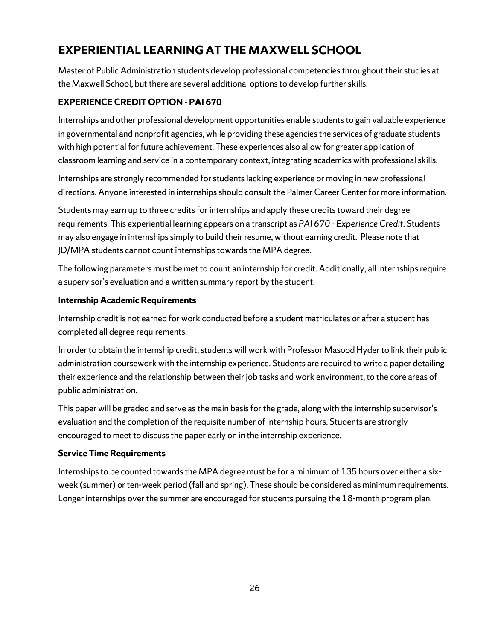# <span id="page-25-0"></span>**EXPERIENTIAL LEARNING AT THE MAXWELL SCHOOL**

Master of Public Administration students develop professional competencies throughout their studies at the Maxwell School, but there are several additional options to develop further skills.

## **EXPERIENCE CREDIT OPTION - PAI 670**

Internships and other professional development opportunities enable students to gain valuable experience in governmental and nonprofit agencies, while providing these agencies the services of graduate students with high potential for future achievement. These experiences also allow for greater application of classroom learning and service in a contemporary context, integrating academics with professional skills.

Internships are strongly recommended for students lacking experience or moving in new professional directions. Anyone interested in internships should consult the Palmer Career Center for more information.

Students may earn up to three credits for internships and apply these credits toward their degree requirements. This experiential learning appears on a transcript as *PAI 670 - Experience Credit*. Students may also engage in internships simply to build their resume, without earning credit. Please note that JD/MPA students cannot count internships towards the MPA degree.

The following parameters must be met to count an internship for credit. Additionally, all internships require a supervisor's evaluation and a written summary report by the student.

### **Internship Academic Requirements**

Internship credit is not earned for work conducted before a student matriculates or after a student has completed all degree requirements.

In order to obtain the internship credit, students will work with Professor Masood Hyder to link their public administration coursework with the internship experience. Students are required to write a paper detailing their experience and the relationship between their job tasks and work environment, to the core areas of public administration.

This paper will be graded and serve as the main basis for the grade, along with the internship supervisor's evaluation and the completion of the requisite number of internship hours. Students are strongly encouraged to meet to discuss the paper early on in the internship experience.

## **Service Time Requirements**

Internships to be counted towards the MPA degree must be for a minimum of 135 hours over either a sixweek (summer) or ten-week period (fall and spring). These should be considered as minimum requirements. Longer internships over the summer are encouraged for students pursuing the 18-month program plan.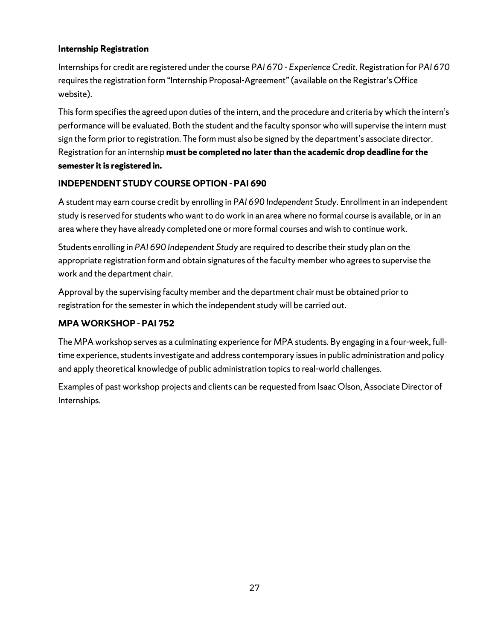### **Internship Registration**

Internships for credit are registered under the course *PAI 670 - Experience Credit*. Registration for *PAI 670* requires the registration form "Internship Proposal-Agreement" (available on the Registrar's Office website).

This form specifies the agreed upon duties of the intern, and the procedure and criteria by which the intern's performance will be evaluated. Both the student and the faculty sponsor who will supervise the intern must sign the form prior to registration. The form must also be signed by the department's associate director. Registration for an internship **must be completed no laterthan the academic drop deadline for the semester it is registered in.** 

### **INDEPENDENT STUDY COURSE OPTION - PAI 690**

A student may earn course credit by enrolling in *PAI 690 Independent Study*. Enrollment in an independent study is reserved for students who want to do work in an area where no formal course is available, or in an area where they have already completed one or more formal courses and wish to continue work.

Students enrolling in *PAI 690 Independent Study* are required to describe their study plan on the appropriate registration form and obtain signatures of the faculty member who agrees to supervise the work and the department chair.

Approval by the supervising faculty member and the department chair must be obtained prior to registration for the semester in which the independent study will be carried out.

### **MPA WORKSHOP - PAI 752**

The MPA workshop serves as a culminating experience for MPA students. By engaging in a four-week, fulltime experience, students investigate and address contemporary issuesin public administration and policy and apply theoretical knowledge of public administration topics to real-world challenges.

Examples of past workshop projects and clients can be requested from Isaac Olson, Associate Director of Internships.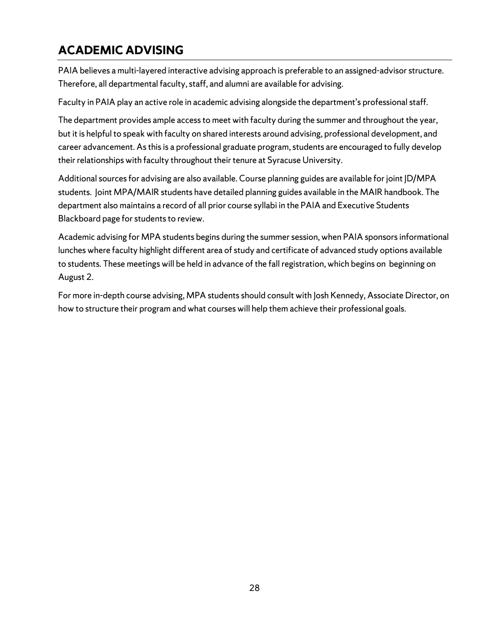# <span id="page-27-0"></span>**ACADEMIC ADVISING**

PAIA believes a multi-layered interactive advising approach is preferable to an assigned-advisor structure. Therefore, all departmental faculty, staff, and alumni are available for advising.

Faculty in PAIA play an active role in academic advising alongside the department's professional staff.

The department provides ample access to meet with faculty during the summer and throughout the year, but it is helpful to speak with faculty on shared interests around advising, professional development, and career advancement. As this is a professional graduate program, students are encouraged to fully develop their relationships with faculty throughout their tenure at Syracuse University.

Additional sources for advising are also available. Course planning guides are available for joint JD/MPA students. Joint MPA/MAIR students have detailed planning guides available in the MAIR handbook. The department also maintains a record of all prior course syllabi in the PAIA and Executive Students Blackboard page for students to review.

Academic advising for MPA students begins during the summer session, when PAIA sponsors informational lunches where faculty highlight different area of study and certificate of advanced study options available to students. These meetings will be held in advance of the fall registration, which begins on beginning on August 2.

For more in-depth course advising, MPA students should consult with Josh Kennedy, Associate Director, on how to structure their program and what courses will help them achieve their professional goals.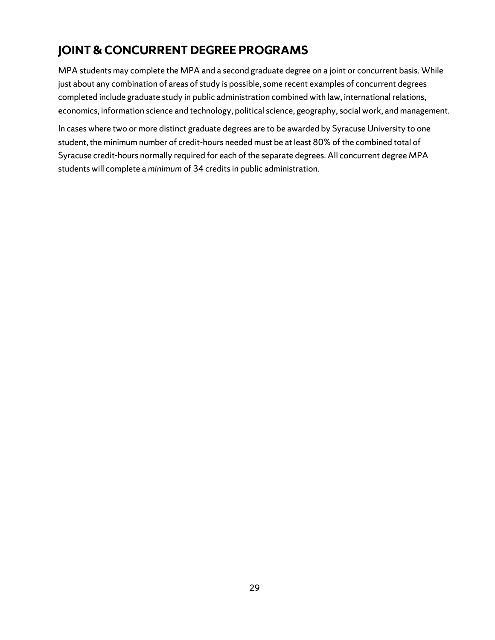# <span id="page-28-0"></span>**JOINT & CONCURRENT DEGREE PROGRAMS**

MPA students may complete the MPA and a second graduate degree on a joint or concurrent basis. While just about any combination of areas of study is possible, some recent examples of concurrent degrees completed include graduate study in public administration combined with law, international relations, economics, information science and technology, political science, geography, social work, and management.

In cases where two or more distinct graduate degrees are to be awarded by Syracuse University to one student, the minimum number of credit-hours needed must be at least 80% of the combined total of Syracuse credit-hours normally required for each of the separate degrees. All concurrent degree MPA students will complete a *minimum* of 34 credits in public administration.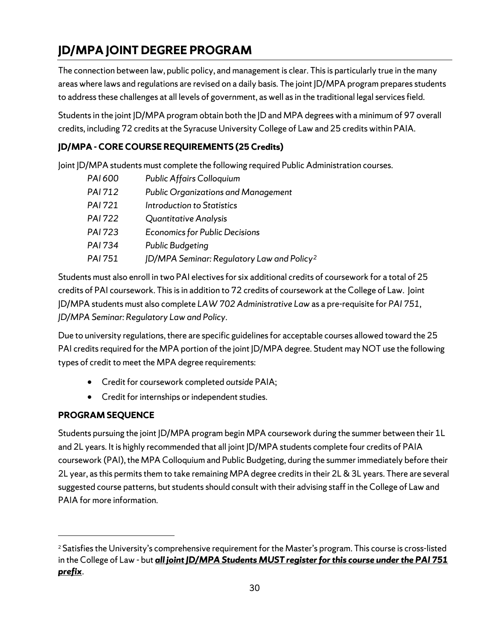# <span id="page-29-0"></span>**JD/MPA JOINT DEGREE PROGRAM**

The connection between law, public policy, and management is clear. This is particularly true in the many areas where laws and regulations are revised on a daily basis. The joint JD/MPA program prepares students to address these challenges at all levels of government, as well as in the traditional legal services field.

Students in the joint JD/MPA program obtain both the JD and MPA degrees with a minimum of 97 overall credits, including 72 credits at the Syracuse University College of Law and 25 credits within PAIA.

# **JD/MPA - CORE COURSE REQUIREMENTS (25 Credits)**

Joint JD/MPA students must complete the following required Public Administration courses.

| PAI 600        | <b>Public Affairs Colloquium</b>                       |
|----------------|--------------------------------------------------------|
| PAI 712        | <b>Public Organizations and Management</b>             |
| <b>PAI 721</b> | Introduction to Statistics                             |
| <b>PAI 722</b> | Quantitative Analysis                                  |
| <b>PAI 723</b> | <b>Economics for Public Decisions</b>                  |
| <b>PAI 734</b> | <b>Public Budgeting</b>                                |
| <b>PAI 751</b> | JD/MPA Seminar: Regulatory Law and Policy <sup>2</sup> |

Students must also enroll in two PAI electives for six additional credits of coursework for a total of 25 credits of PAI coursework. This is in addition to 72 credits of coursework at the College of Law. Joint JD/MPA students must also complete *LAW 702 Administrative Law* as a pre-requisite for *PAI 751, JD/MPA Seminar: Regulatory Law and Policy*.

Due to university regulations, there are specific guidelines for acceptable courses allowed toward the 25 PAI credits required for the MPA portion of the joint JD/MPA degree. Student may NOT use the following types of credit to meet the MPA degree requirements:

- Credit for coursework completed *outside* PAIA;
- Credit for internships or independent studies.

# **PROGRAM SEQUENCE**

Students pursuing the joint JD/MPA program begin MPA coursework during the summer between their 1L and 2L years. It is highly recommended that all joint JD/MPA students complete four credits of PAIA coursework (PAI), the MPA Colloquium and Public Budgeting, during the summer immediately before their 2L year, as this permits them to take remaining MPA degree credits in their 2L & 3L years. There are several suggested course patterns, but students should consult with their advising staff in the College of Law and PAIA for more information.

<span id="page-29-1"></span><sup>&</sup>lt;sup>2</sup> Satisfies the University's comprehensive requirement for the Master's program. This course is cross-listed in the College of Law - but *all joint JD/MPA Students MUST register for this course under the PAI 751 prefix*.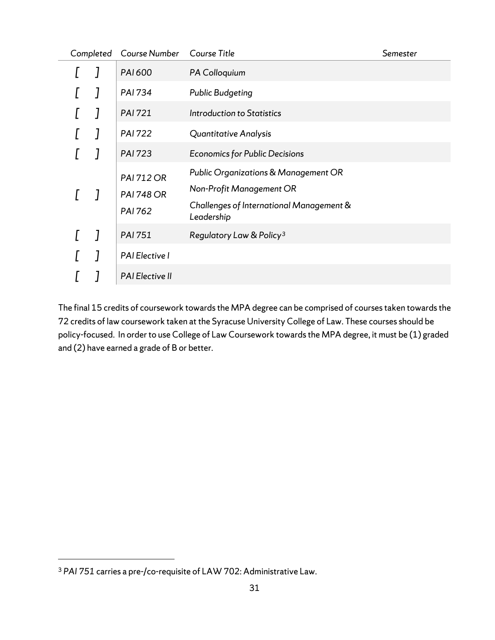| Completed | Course Number                                     | Course Title                                                                                                               | Semester |
|-----------|---------------------------------------------------|----------------------------------------------------------------------------------------------------------------------------|----------|
|           | PAI 600                                           | PA Colloquium                                                                                                              |          |
|           | <b>PAI 734</b>                                    | <b>Public Budgeting</b>                                                                                                    |          |
|           | <b>PAI 721</b>                                    | Introduction to Statistics                                                                                                 |          |
|           | <b>PAI 722</b>                                    | Quantitative Analysis                                                                                                      |          |
|           | <b>PAI 723</b>                                    | <b>Economics for Public Decisions</b>                                                                                      |          |
|           | <b>PAI 712 OR</b><br><b>PAI 748 OR</b><br>PAI 762 | Public Organizations & Management OR<br>Non-Profit Management OR<br>Challenges of International Management &<br>Leadership |          |
|           | PAI 751                                           | Regulatory Law & Policy <sup>3</sup>                                                                                       |          |
|           | PAI Elective I                                    |                                                                                                                            |          |
|           | <b>PAI Elective II</b>                            |                                                                                                                            |          |

The final 15 credits of coursework towards the MPA degree can be comprised of courses taken towards the 72 credits of law coursework taken at the Syracuse University College of Law. These courses should be policy-focused. In order to use College of Law Coursework towards the MPA degree, it must be (1) graded and (2) have earned a grade of B or better.

<span id="page-30-0"></span><sup>3</sup> *PAI 751* carries a pre-/co-requisite of LAW 702: Administrative Law.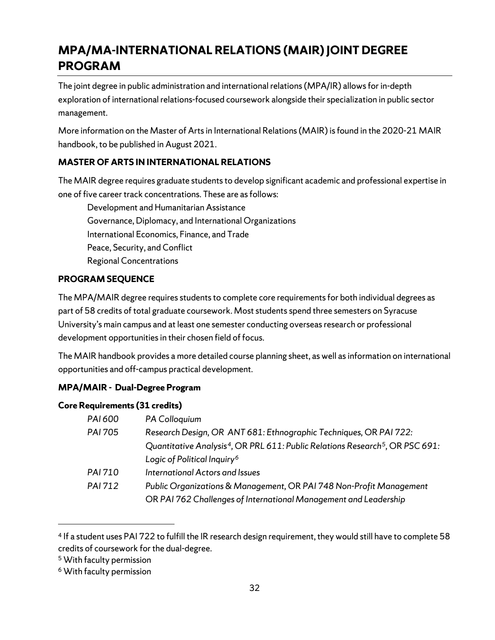# <span id="page-31-0"></span>**MPA/MA-INTERNATIONAL RELATIONS (MAIR) JOINT DEGREE PROGRAM**

The joint degree in public administration and international relations(MPA/IR) allows for in-depth exploration of international relations-focused coursework alongside their specialization in public sector management.

More information on the Master of Arts in International Relations (MAIR) is found in the 2020-21 MAIR handbook, to be published in August 2021.

# **MASTER OF ARTS IN INTERNATIONAL RELATIONS**

The MAIR degree requires graduate students to develop significant academic and professional expertise in one of five career track concentrations. These are as follows:

Development and Humanitarian Assistance Governance, Diplomacy, and International Organizations International Economics, Finance, and Trade Peace, Security, and Conflict Regional Concentrations

## **PROGRAM SEQUENCE**

The MPA/MAIR degree requires students to complete core requirements for both individual degrees as part of 58 credits of total graduate coursework. Most students spend three semesters on Syracuse University's main campus and at least one semester conducting overseas research or professional development opportunities in their chosen field of focus.

The MAIR handbook provides a more detailed course planning sheet, as well as information on international opportunities and off-campus practical development.

## **MPA/MAIR - Dual-Degree Program**

#### **Core Requirements (31 credits)**

| PAI 600        | PA Colloquium                                                                                         |
|----------------|-------------------------------------------------------------------------------------------------------|
| <b>PAI 705</b> | Research Design, OR ANT 681: Ethnographic Techniques, OR PAI 722:                                     |
|                | Quantitative Analysis <sup>4</sup> , OR PRL 611: Public Relations Research <sup>5</sup> , OR PSC 691: |
|                | Logic of Political Inquiry <sup>6</sup>                                                               |
| <b>PAI 710</b> | International Actors and Issues                                                                       |
| PAI 712        | Public Organizations & Management, OR PAI 748 Non-Profit Management                                   |
|                | OR PAI 762 Challenges of International Management and Leadership                                      |

<span id="page-31-1"></span><sup>4</sup> If a student uses PAI 722 to fulfill the IR research design requirement, they would still have to complete 58 credits of coursework for the dual-degree.

<span id="page-31-2"></span><sup>5</sup> With faculty permission

<span id="page-31-3"></span><sup>6</sup> With faculty permission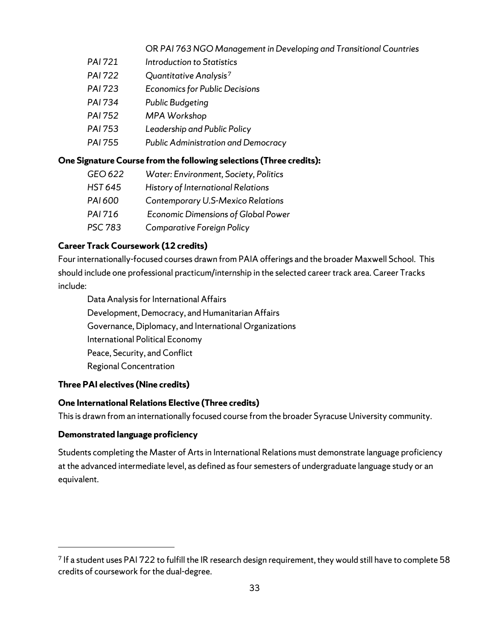### OR *PAI 763 NGO Management in Developing and Transitional Countries*

- *PAI 721 Introduction to Statistics*
- *PAI 722 Quantitative Analysis[7](#page-32-0)*
- *PAI 723 Economics for Public Decisions*
- *PAI 734 Public Budgeting*
- *PAI 752 MPA Workshop*
- *PAI 753 Leadership and Public Policy*
- *PAI 755 Public Administration and Democracy*

### **One Signature Course from the following selections (Three credits):**

| GEO 622        | Water: Environment, Society, Politics      |
|----------------|--------------------------------------------|
| <b>HST 645</b> | History of International Relations         |
| PAI 600        | Contemporary U.S-Mexico Relations          |
| PAI 716        | <b>Economic Dimensions of Global Power</b> |
| <b>PSC 783</b> | <b>Comparative Foreign Policy</b>          |

## **Career Track Coursework (12 credits)**

Four internationally-focused courses drawn from PAIA offerings and the broader Maxwell School. This should include one professional practicum/internship in the selected career track area. Career Tracks include:

Data Analysis for International Affairs Development, Democracy, and Humanitarian Affairs Governance, Diplomacy, and International Organizations International Political Economy Peace, Security, and Conflict Regional Concentration

## **Three PAI electives (Nine credits)**

## **One International Relations Elective (Three credits)**

This is drawn from an internationally focused course from the broader Syracuse University community.

## **Demonstrated language proficiency**

Students completing the Master of Arts in International Relations must demonstrate language proficiency at the advanced intermediate level, as defined as four semesters of undergraduate language study or an equivalent.

<span id="page-32-0"></span><sup>7</sup> If a student uses PAI 722 to fulfill the IR research design requirement, they would still have to complete 58 credits of coursework for the dual-degree.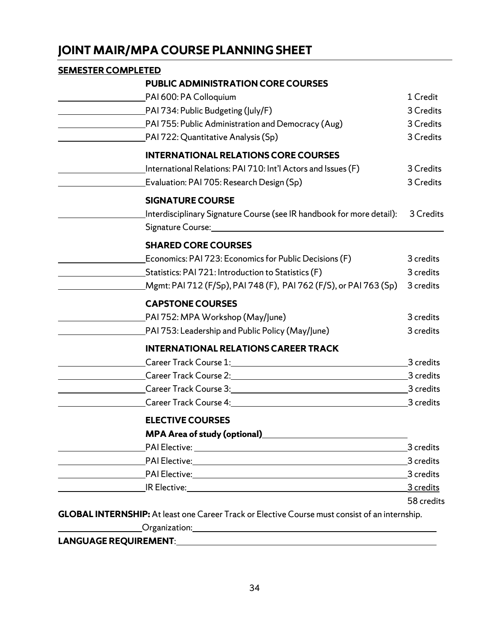# <span id="page-33-0"></span>**JOINT MAIR/MPA COURSE PLANNING SHEET**

# **SEMESTER COMPLETED PUBLIC ADMINISTRATIONCORE COURSES** PAI 600: PA Colloquium 1 Credit PAI 734: Public Budgeting (July/F) 3 Credits PAI 755: Public Administration and Democracy (Aug) 3 Credits PAI 722: Quantitative Analysis (Sp) 3 Credits **INTERNATIONAL RELATIONS CORE COURSES** International Relations: PAI 710: Int'l Actors and Issues (F) 3 Credits Evaluation: PAI 705: Research Design (Sp) 3 Credits **SIGNATURE COURSE** Interdisciplinary Signature Course (see IR handbook for more detail): 3 Credits Signature Course: **SHARED CORE COURSES** Economics: PAI 723: Economics for Public Decisions (F) 3 credits Statistics: PAI 721: Introduction to Statistics (F) 3 credits Mgmt: PAI 712 (F/Sp), PAI 748 (F), PAI 762 (F/S), or PAI 763 (Sp) 3 credits **CAPSTONE COURSES** PAI 752: MPA Workshop (May/June) 3 credits PAI 753: Leadership and Public Policy (May/June) 3 credits **INTERNATIONAL RELATIONS CAREER TRACK** Career Track Course 1: 3 credits Career Track Course 2: 3 credits 3 credits Career Track Course 3: 3 credits Career Track Course 4: 3 credits **ELECTIVE COURSES MPA Area of study (optional)** PAI Elective: 3 credits PAI Elective: 3 credits PAI Elective: 3 credits IR Elective: 3 credits 58 credits **GLOBAL INTERNSHIP:** At least one Career Track or Elective Course must consist of an internship. Organization:

#### **LANGUAGE REQUIREMENT**: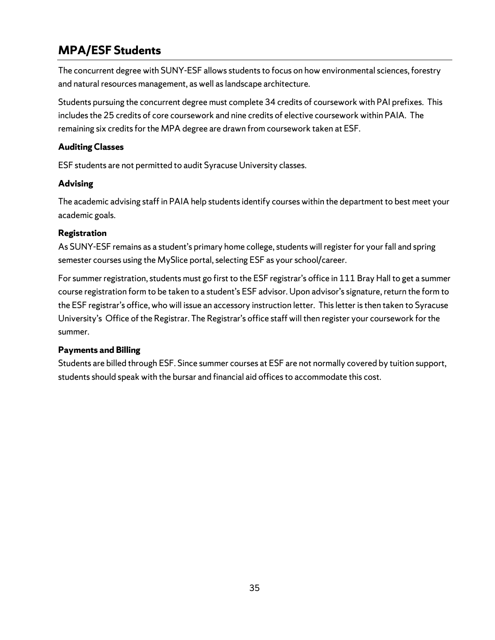# <span id="page-34-0"></span>**MPA/ESF Students**

The concurrent degree with SUNY-ESF allows students to focus on how environmental sciences, forestry and natural resources management, as well as landscape architecture.

Students pursuing the concurrent degree must complete 34 credits of coursework with PAI prefixes. This includes the 25 credits of core coursework and nine credits of elective coursework within PAIA. The remaining six credits for the MPA degree are drawn from coursework taken at ESF.

## **Auditing Classes**

ESF students are not permitted to audit Syracuse University classes.

## **Advising**

The academic advising staff in PAIA help studentsidentify courses within the department to best meet your academic goals.

# **Registration**

As SUNY-ESF remains as a student's primary home college, studentswill register for your fall and spring semester courses using the MySlice portal, selecting ESF as your school/career.

For summer registration, students must go first to the ESF registrar's office in 111 Bray Hall to get a summer course registration form to be taken to a student's ESF advisor. Upon advisor'ssignature, return the form to the ESF registrar's office, who will issue an accessory instruction letter. This letter is then taken to Syracuse University's Office of the Registrar. The Registrar's office staff will then register your coursework for the summer.

# **Payments and Billing**

Students are billed through ESF. Since summer courses at ESF are not normally covered by tuition support, students should speak with the bursar and financial aid offices to accommodate this cost.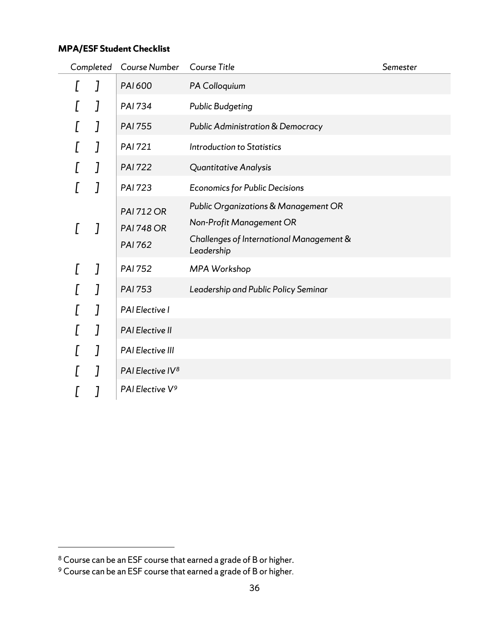# **MPA/ESF Student Checklist**

| Completed | Course Number                                            | Course Title                                                                                                               | Semester |
|-----------|----------------------------------------------------------|----------------------------------------------------------------------------------------------------------------------------|----------|
|           | PAI 600                                                  | PA Colloquium                                                                                                              |          |
| J         | <b>PAI 734</b>                                           | <b>Public Budgeting</b>                                                                                                    |          |
| J         | <b>PAI 755</b>                                           | <b>Public Administration &amp; Democracy</b>                                                                               |          |
| 1         | <b>PAI 721</b>                                           | <b>Introduction to Statistics</b>                                                                                          |          |
| J         | <b>PAI 722</b>                                           | Quantitative Analysis                                                                                                      |          |
| 1         | <b>PAI 723</b>                                           | <b>Economics for Public Decisions</b>                                                                                      |          |
| 1         | <b>PAI 712 OR</b><br><b>PAI 748 OR</b><br><b>PAI 762</b> | Public Organizations & Management OR<br>Non-Profit Management OR<br>Challenges of International Management &<br>Leadership |          |
| J         | <b>PAI 752</b>                                           | MPA Workshop                                                                                                               |          |
| 7         | <b>PAI 753</b>                                           | Leadership and Public Policy Seminar                                                                                       |          |
| J         | PAI Elective I                                           |                                                                                                                            |          |
| ]         | <b>PAI Elective II</b>                                   |                                                                                                                            |          |
| J         | PAI Elective III                                         |                                                                                                                            |          |
| 1         | PAI Elective IV <sup>8</sup>                             |                                                                                                                            |          |
|           | PAI Elective V <sup>9</sup>                              |                                                                                                                            |          |

<span id="page-35-0"></span> $8$  Course can be an ESF course that earned a grade of B or higher.

<span id="page-35-1"></span> $9$  Course can be an ESF course that earned a grade of B or higher.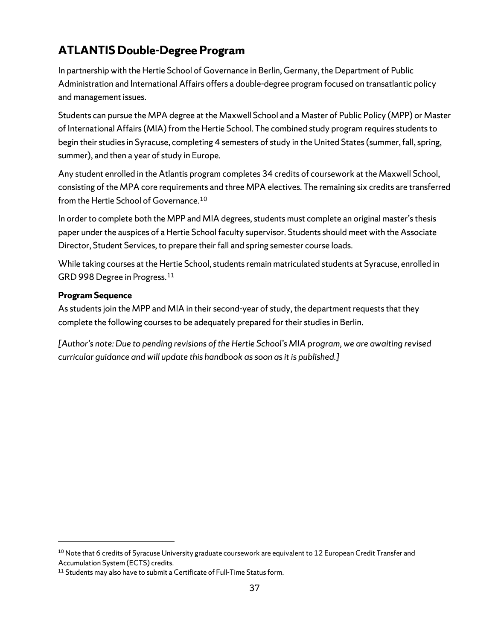# <span id="page-36-0"></span>**ATLANTIS Double-Degree Program**

In partnership with the Hertie School of Governance in Berlin, Germany, the Department of Public Administration and International Affairs offers a double-degree program focused on transatlantic policy and management issues.

Students can pursue the MPA degree at the Maxwell School and a Master of Public Policy (MPP) or Master of International Affairs (MIA) from the Hertie School. The combined study program requires students to begin their studies in Syracuse, completing 4 semesters of study in the United States(summer, fall, spring, summer), and then a year of study in Europe.

Any student enrolled in the Atlantis program completes 34 credits of coursework at the Maxwell School, consisting of the MPA core requirements and three MPA electives. The remaining six credits are transferred from the Hertie School of Governance.[10](#page-36-1)

In order to complete both the MPP and MIA degrees, students must complete an original master's thesis paper under the auspices of a Hertie School faculty supervisor. Students should meet with the Associate Director, Student Services, to prepare their fall and spring semester course loads.

While taking courses at the Hertie School, students remain matriculated students at Syracuse, enrolled in GRD 998 Degree in Progress.[11](#page-36-2)

### **Program Sequence**

As students join the MPP and MIA in their second-year of study, the department requests that they complete the following courses to be adequately prepared for their studies in Berlin.

*[Author's note: Due to pending revisions of the Hertie School's MIA program, we are awaiting revised curricular guidance and will update this handbook as soon as it is published.]*

<span id="page-36-1"></span><sup>&</sup>lt;sup>10</sup> Note that 6 credits of Syracuse University graduate coursework are equivalent to 12 European Credit Transfer and Accumulation System (ECTS) credits.

<span id="page-36-2"></span> $11$  Students may also have to submit a Certificate of Full-Time Status form.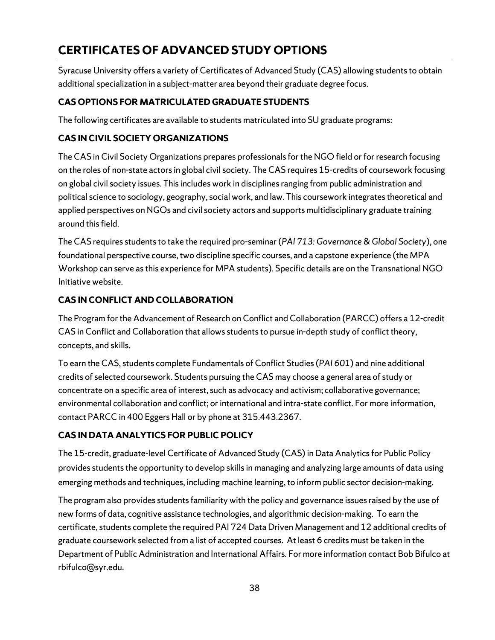# **CERTIFICATES OF ADVANCED STUDY OPTIONS**

Syracuse University offers a variety of Certificates of Advanced Study (CAS) allowing students to obtain additional specialization in a subject-matter area beyond their graduate degree focus.

## **CAS OPTIONS FOR MATRICULATED GRADUATE STUDENTS**

The following certificates are available to students matriculated into SU graduate programs:

## **CAS IN CIVIL SOCIETY ORGANIZATIONS**

The CAS in Civil Society Organizations prepares professionals for the NGO field or for research focusing on the roles of non-state actors in global civil society. The CAS requires 15-credits of coursework focusing on global civil society issues. This includes work in disciplines ranging from public administration and political science to sociology, geography, social work, and law. This coursework integrates theoretical and applied perspectives on NGOs and civil society actors and supports multidisciplinary graduate training around this field.

The CAS requires students to take the required pro-seminar (*PAI 713: Governance & Global Society*), one foundational perspective course, two discipline specific courses, and a capstone experience (the MPA Workshop can serve as this experience for MPA students). Specific details are on the Transnational NGO Initiative website.

## **CAS IN CONFLICT AND COLLABORATION**

The Program for the Advancement of Research on Conflict and Collaboration (PARCC) offers a 12-credit CAS in Conflict and Collaboration that allows students to pursue in-depth study of conflict theory, concepts, and skills.

To earn the CAS, students complete Fundamentals of Conflict Studies (*PAI 601*) and nine additional credits of selected coursework. Students pursuing the CAS may choose a general area of study or concentrate on a specific area of interest, such as advocacy and activism; collaborative governance; environmental collaboration and conflict; or international and intra-state conflict. For more information, contact PARCC in 400 Eggers Hall or by phone at 315.443.2367.

# **CAS IN DATA ANALYTICS FOR PUBLIC POLICY**

The 15-credit, graduate-level Certificate of Advanced Study (CAS) in Data Analytics for Public Policy provides students the opportunity to develop skills in managing and analyzing large amounts of data using emerging methods and techniques, including machine learning, to inform public sector decision-making.

The program also provides students familiarity with the policy and governance issues raised by the use of new forms of data, cognitive assistance technologies, and algorithmic decision-making. To earn the certificate, students complete the required PAI 724 Data Driven Management and 12 additional credits of graduate coursework selected from a list of accepted courses. At least 6 credits must be taken in the Department of Public Administration and International Affairs. For more information contact Bob Bifulco at rbifulco@syr.edu.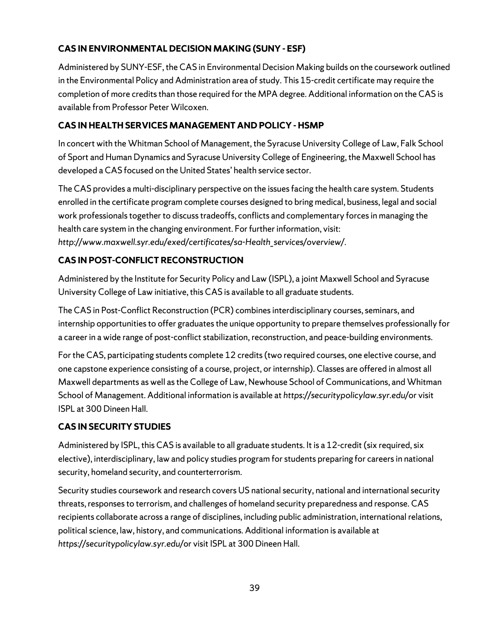# **CAS IN ENVIRONMENTAL DECISION MAKING (SUNY - ESF)**

Administered by SUNY-ESF, the CAS in Environmental Decision Making builds on the coursework outlined in the Environmental Policy and Administration area of study. This 15-credit certificate may require the completion of more credits than those required for the MPA degree. Additional information on the CAS is available from Professor Peter Wilcoxen.

# **CAS IN HEALTH SERVICES MANAGEMENT AND POLICY - HSMP**

In concert with the Whitman School of Management, the Syracuse University College of Law, Falk School of Sport and Human Dynamics and Syracuse University College of Engineering, the Maxwell School has developed a CAS focused on the United States' health service sector.

The CAS provides a multi-disciplinary perspective on the issues facing the health care system. Students enrolled in the certificate program complete courses designed to bring medical, business, legal and social work professionals together to discuss tradeoffs, conflicts and complementary forces in managing the health care system in the changing environment. For further information, visit: *http://www.maxwell.syr.edu/exed/certificates/sa-Health\_services/overview/*.

# **CAS IN POST-CONFLICT RECONSTRUCTION**

Administered by the Institute for Security Policy and Law (ISPL), a joint Maxwell School and Syracuse University College of Law initiative, this CAS is available to all graduate students.

The CAS in Post-Conflict Reconstruction (PCR) combines interdisciplinary courses, seminars, and internship opportunities to offer graduates the unique opportunity to prepare themselves professionally for a career in a wide range of post-conflict stabilization, reconstruction, and peace-building environments.

For the CAS, participating students complete 12 credits (two required courses, one elective course, and one capstone experience consisting of a course, project, or internship). Classes are offered in almost all Maxwell departments as well as the College of Law, Newhouse School of Communications, and Whitman School of Management. Additional information is available at *https://securitypolicylaw.syr.edu/*or visit ISPL at 300 Dineen Hall.

# **CAS IN SECURITY STUDIES**

Administered by ISPL, this CAS is available to all graduate students. It is a 12-credit (six required, six elective), interdisciplinary, law and policy studies program for students preparing for careers in national security, homeland security, and counterterrorism.

Security studies coursework and research covers US national security, national and international security threats, responses to terrorism, and challenges of homeland security preparedness and response. CAS recipients collaborate across a range of disciplines, including public administration, international relations, political science, law, history, and communications. Additional information is available at *https://securitypolicylaw.syr.edu/*or visit ISPL at 300 Dineen Hall.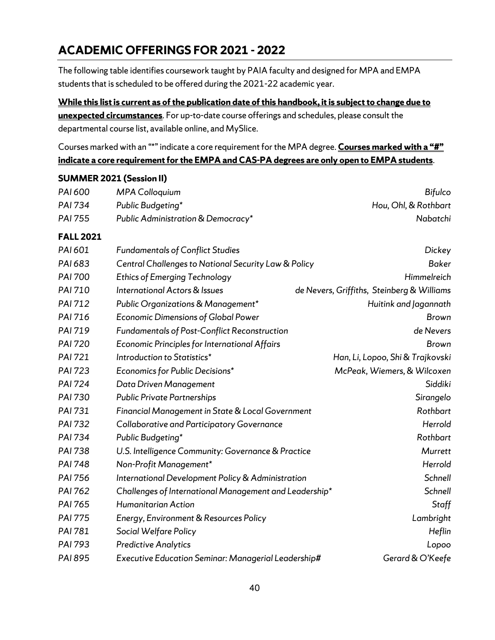# <span id="page-39-0"></span>**ACADEMIC OFFERINGS FOR 2021 - 2022**

The following table identifies coursework taught by PAIA faculty and designed for MPA and EMPA students that is scheduled to be offered during the 2021-22 academic year.

**While this list is current as of the publication date of this handbook, it is subject to change due to unexpected circumstances**. For up-to-date course offerings and schedules, please consult the departmental course list, available online, and MySlice.

Courses marked with an "\*" indicate a core requirement for the MPA degree. **Courses marked with a "#" indicate a core requirement for the EMPA and CAS-PA degrees are only open to EMPA students**.

### **SUMMER 2021 (Session II)**

| PAI 600          | <b>MPA Colloquium</b>                                  | <b>Bifulco</b>                             |
|------------------|--------------------------------------------------------|--------------------------------------------|
| PAI 734          | Public Budgeting*                                      | Hou, Ohl, & Rothbart                       |
| <b>PAI 755</b>   | Public Administration & Democracy*                     | Nabatchi                                   |
| <b>FALL 2021</b> |                                                        |                                            |
| PAI 601          | <b>Fundamentals of Conflict Studies</b>                | Dickey                                     |
| PAI 683          | Central Challenges to National Security Law & Policy   | <b>Baker</b>                               |
| <b>PAI 700</b>   | <b>Ethics of Emerging Technology</b>                   | Himmelreich                                |
| PAI 710          | <b>International Actors &amp; Issues</b>               | de Nevers, Griffiths, Steinberg & Williams |
| PAI 712          | Public Organizations & Management*                     | Huitink and Jagannath                      |
| PAI 716          | <b>Economic Dimensions of Global Power</b>             | <b>Brown</b>                               |
| PAI 719          | <b>Fundamentals of Post-Conflict Reconstruction</b>    | de Nevers                                  |
| <b>PAI 720</b>   | Economic Principles for International Affairs          | <b>Brown</b>                               |
| <b>PAI 721</b>   | Introduction to Statistics*                            | Han, Li, Lopoo, Shi & Trajkovski           |
| <b>PAI 723</b>   | Economics for Public Decisions*                        | McPeak, Wiemers, & Wilcoxen                |
| <b>PAI 724</b>   | Data Driven Management                                 | Siddiki                                    |
| PAI 730          | <b>Public Private Partnerships</b>                     | Sirangelo                                  |
| PAI 731          | Financial Management in State & Local Government       | Rothbart                                   |
| <b>PAI 732</b>   | Collaborative and Participatory Governance             | Herrold                                    |
| <b>PAI 734</b>   | Public Budgeting*                                      | Rothbart                                   |
| <b>PAI 738</b>   | U.S. Intelligence Community: Governance & Practice     | Murrett                                    |
| <b>PAI 748</b>   | Non-Profit Management*                                 | Herrold                                    |
| PAI 756          | International Development Policy & Administration      | Schnell                                    |
| PAI 762          | Challenges of International Management and Leadership* | Schnell                                    |
| PAI 765          | Humanitarian Action                                    | Staff                                      |
| <b>PAI 775</b>   | Energy, Environment & Resources Policy                 | Lambright                                  |
| PAI 781          | Social Welfare Policy                                  | Heflin                                     |
| PAI 793          | <b>Predictive Analytics</b>                            | Lopoo                                      |
| PAI 895          | Executive Education Seminar: Managerial Leadership#    | Gerard & O'Keefe                           |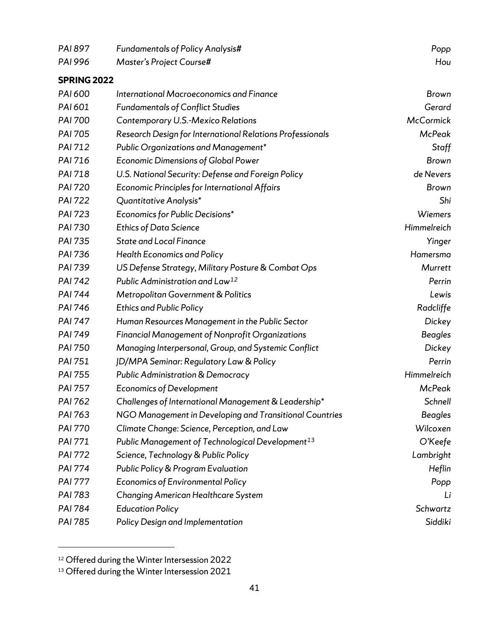| PAI 897            | <b>Fundamentals of Policy Analysis#</b>                      | Popp             |
|--------------------|--------------------------------------------------------------|------------------|
| PAI 996            | Master's Project Course#                                     | Hou              |
| <b>SPRING 2022</b> |                                                              |                  |
| PAI 600            | International Macroeconomics and Finance                     | <b>Brown</b>     |
| PAI 601            | <b>Fundamentals of Conflict Studies</b>                      | Gerard           |
| <b>PAI 700</b>     | Contemporary U.S.-Mexico Relations                           | <b>McCormick</b> |
| PAI 705            | Research Design for International Relations Professionals    | <b>McPeak</b>    |
| PAI 712            | Public Organizations and Management*                         | Staff            |
| PAI 716            | <b>Economic Dimensions of Global Power</b>                   | <b>Brown</b>     |
| PAI 718            | U.S. National Security: Defense and Foreign Policy           | de Nevers        |
| <b>PAI 720</b>     | Economic Principles for International Affairs                | Brown            |
| <b>PAI 722</b>     | Quantitative Analysis*                                       | Shi              |
| <b>PAI 723</b>     | Economics for Public Decisions*                              | <b>Wiemers</b>   |
| <b>PAI 730</b>     | <b>Ethics of Data Science</b>                                | Himmelreich      |
| <b>PAI 735</b>     | <b>State and Local Finance</b>                               | Yinger           |
| PAI 736            | <b>Health Economics and Policy</b>                           | Hamersma         |
| PAI 739            | US Defense Strategy, Military Posture & Combat Ops           | Murrett          |
| <b>PAI 742</b>     | Public Administration and Law <sup>12</sup>                  | Perrin           |
| <b>PAI 744</b>     | Metropolitan Government & Politics                           | Lewis            |
| PAI 746            | <b>Ethics and Public Policy</b>                              | Radcliffe        |
| <b>PAI 747</b>     | Human Resources Management in the Public Sector              | Dickey           |
| PAI 749            | <b>Financial Management of Nonprofit Organizations</b>       | <b>Beagles</b>   |
| PAI 750            | Managing Interpersonal, Group, and Systemic Conflict         | Dickey           |
| PAI 751            | JD/MPA Seminar: Regulatory Law & Policy                      | Perrin           |
| PAI 755            | <b>Public Administration &amp; Democracy</b>                 | Himmelreich      |
| PAI 757            | <b>Economics of Development</b>                              | <b>McPeak</b>    |
| PAI 762            | Challenges of International Management & Leadership*         | Schnell          |
| PAI 763            | NGO Management in Developing and Transitional Countries      | Beagles          |
| <b>PAI 770</b>     | Climate Change: Science, Perception, and Law                 | Wilcoxen         |
| PAI 771            | Public Management of Technological Development <sup>13</sup> | O'Keefe          |
| <b>PAI 772</b>     | Science, Technology & Public Policy                          | Lambright        |
| <b>PAI 774</b>     | <b>Public Policy &amp; Program Evaluation</b>                | Heflin           |
| <b>PAI 777</b>     | <b>Economics of Environmental Policy</b>                     | Popp             |
| PAI 783            | Changing American Healthcare System                          | Li               |
| PAI 784            | <b>Education Policy</b>                                      | Schwartz         |
| PAI 785            | Policy Design and Implementation                             | Siddiki          |
|                    |                                                              |                  |

<span id="page-40-0"></span><sup>&</sup>lt;sup>12</sup> Offered during the Winter Intersession 2022

<span id="page-40-1"></span> $13$  Offered during the Winter Intersession 2021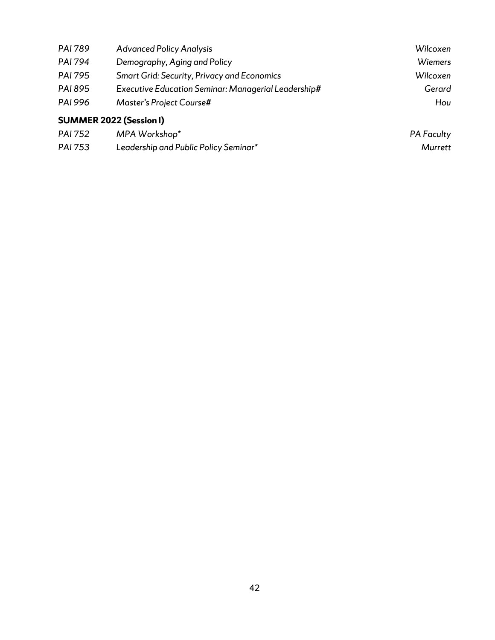| <b>PAI 789</b>                 | <b>Advanced Policy Analysis</b>                     | Wilcoxen          |
|--------------------------------|-----------------------------------------------------|-------------------|
| <b>PAI 794</b>                 | Demography, Aging and Policy                        | <b>Wiemers</b>    |
| <b>PAI 795</b>                 | <b>Smart Grid: Security, Privacy and Economics</b>  | Wilcoxen          |
| <b>PAI 895</b>                 | Executive Education Seminar: Managerial Leadership# | Gerard            |
| <b>PAI 996</b>                 | Master's Project Course#                            | Hou               |
| <b>SUMMER 2022 (Session I)</b> |                                                     |                   |
| PAI 752                        | MPA Workshop*                                       | <b>PA Faculty</b> |

| PAL 752        | <i>IVIPA WORKSHOD</i>                 | <b>PA FOCUITY</b> |
|----------------|---------------------------------------|-------------------|
| <b>PAI 753</b> | Leadership and Public Policy Seminar* | Murrett           |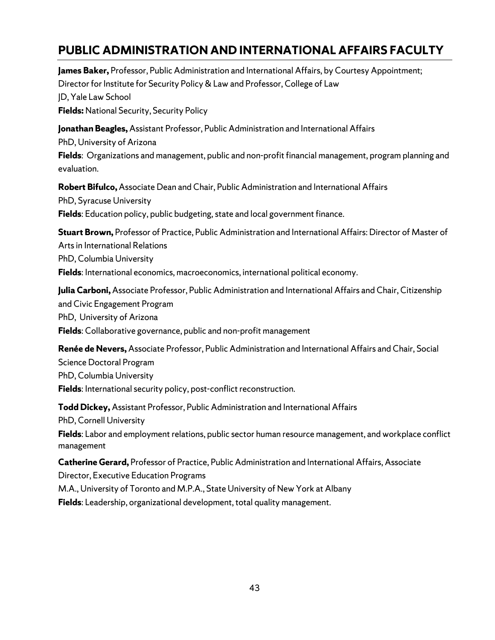# <span id="page-42-0"></span>**PUBLIC ADMINISTRATION AND INTERNATIONAL AFFAIRS FACULTY**

**James Baker,** Professor, Public Administration and International Affairs, by Courtesy Appointment; Director for Institute for Security Policy & Law and Professor, College of Law JD, Yale Law School **Fields:** National Security, Security Policy **Jonathan Beagles,** Assistant Professor, Public Administration and International Affairs PhD, University of Arizona

**Fields**: Organizations and management, public and non-profit financial management, program planning and evaluation.

**Robert Bifulco,**Associate Dean and Chair, Public Administration and International Affairs PhD, Syracuse University **Fields**: Education policy, public budgeting, state and local government finance.

**Stuart Brown,** Professor of Practice, Public Administration and International Affairs: Director of Master of Arts in International Relations PhD, Columbia University **Fields**: International economics, macroeconomics, international political economy.

**Julia Carboni,** Associate Professor, Public Administration and International Affairs and Chair, Citizenship and Civic Engagement Program PhD, University of Arizona **Fields**: Collaborative governance, public and non-profit management

**Renée de Nevers,** Associate Professor, Public Administration and International Affairs and Chair, Social Science Doctoral Program PhD, Columbia University **Fields**: International security policy, post-conflict reconstruction.

**Todd Dickey,** Assistant Professor, Public Administration and International Affairs PhD, Cornell University **Fields**: Labor and employment relations, public sector human resource management, and workplace conflict management

**Catherine Gerard,** Professor of Practice, Public Administration and International Affairs, Associate Director, Executive Education Programs

M.A., University of Toronto and M.P.A., State University of New York at Albany

**Fields**: Leadership, organizational development, total quality management.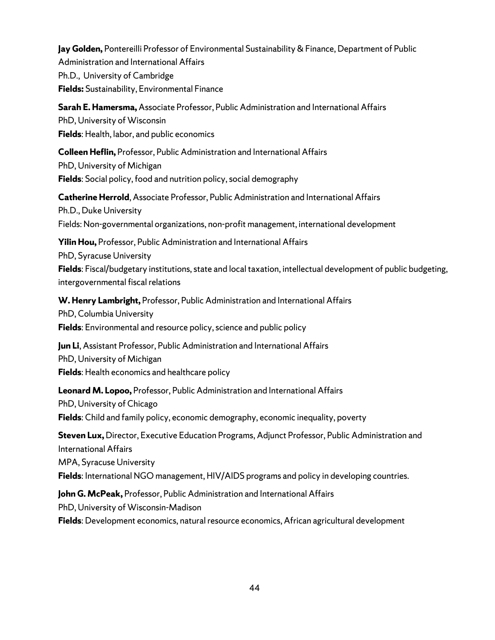**Jay Golden,** Pontereilli Professor of Environmental Sustainability & Finance, Department of Public Administration and International Affairs Ph.D., University of Cambridge **Fields:** Sustainability, Environmental Finance

**Sarah E. Hamersma,** Associate Professor, Public Administration and International Affairs PhD, University of Wisconsin **Fields**: Health, labor, and public economics

**Colleen Heflin,** Professor, Public Administration and International Affairs PhD, University of Michigan **Fields**: Social policy, food and nutrition policy, social demography

**Catherine Herrold**, Associate Professor, Public Administration and International Affairs Ph.D., Duke University Fields: Non-governmental organizations, non-profit management, international development

**Yilin Hou,** Professor, Public Administration and International Affairs PhD, Syracuse University **Fields**: Fiscal/budgetary institutions, state and local taxation, intellectual development of public budgeting, intergovernmental fiscal relations

**W. Henry Lambright,** Professor, Public Administration and International Affairs PhD, Columbia University **Fields**: Environmental and resource policy, science and public policy

**Jun Li**, Assistant Professor, Public Administration and International Affairs PhD, University of Michigan **Fields**: Health economics and healthcare policy

**Leonard M. Lopoo,** Professor, Public Administration and International Affairs PhD, University of Chicago **Fields**: Child and family policy, economic demography, economic inequality, poverty

**Steven Lux,** Director, Executive Education Programs, Adjunct Professor, Public Administration and International Affairs MPA, Syracuse University **Fields**: International NGO management, HIV/AIDS programs and policy in developing countries.

**John G. McPeak,** Professor, Public Administration and International Affairs PhD, University of Wisconsin-Madison **Fields**: Development economics, natural resource economics, African agricultural development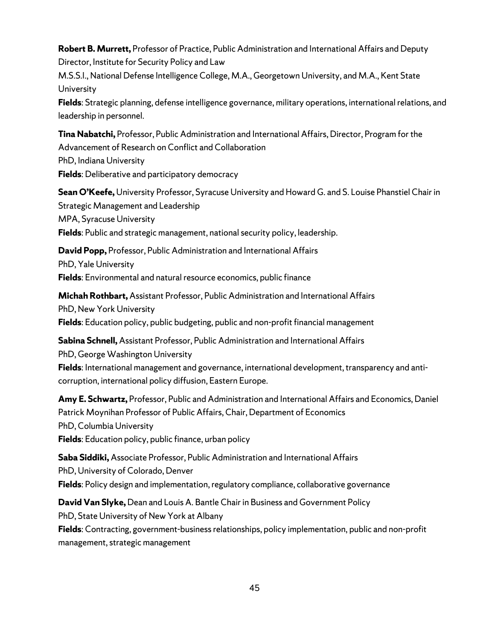**Robert B. Murrett,** Professor of Practice, Public Administration and International Affairs and Deputy Director, Institute for Security Policy and Law

M.S.S.I., National Defense Intelligence College, M.A., Georgetown University, and M.A., Kent State University

**Fields**: Strategic planning, defense intelligence governance, military operations, international relations, and leadership in personnel.

**Tina Nabatchi,** Professor, Public Administration and International Affairs, Director, Program for the Advancement of Research on Conflict and Collaboration PhD, Indiana University

**Fields**: Deliberative and participatory democracy

**Sean O'Keefe,** University Professor, Syracuse University and Howard G. and S. Louise Phanstiel Chair in Strategic Management and Leadership MPA, Syracuse University **Fields**: Public and strategic management, national security policy, leadership.

**David Popp,** Professor, Public Administration and International Affairs PhD, Yale University

**Fields**: Environmental and natural resource economics, public finance

**Michah Rothbart,** Assistant Professor, Public Administration and International Affairs PhD, New York University **Fields**: Education policy, public budgeting, public and non-profit financial management

**Sabina Schnell,** Assistant Professor, Public Administration and International Affairs PhD, George Washington University **Fields**: International management and governance, international development, transparency and anti-

corruption, international policy diffusion, Eastern Europe.

**Amy E. Schwartz,** Professor, Public and Administration and International Affairs and Economics, Daniel Patrick Moynihan Professor of Public Affairs, Chair, Department of Economics PhD, Columbia University **Fields**: Education policy, public finance, urban policy

**Saba Siddiki,** Associate Professor, Public Administration and International Affairs PhD, University of Colorado, Denver **Fields**: Policy design and implementation, regulatory compliance, collaborative governance

**David Van Slyke,** Dean and Louis A. Bantle Chair in Business and Government Policy PhD, State University of New York at Albany

**Fields**: Contracting, government-business relationships, policy implementation, public and non-profit management, strategic management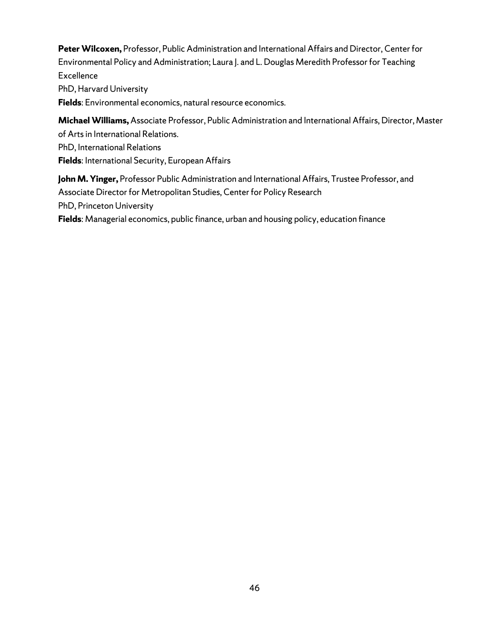**Peter Wilcoxen,** Professor, Public Administration and International Affairs and Director, Center for Environmental Policy and Administration; Laura J. and L. Douglas Meredith Professor for Teaching **Excellence** PhD, Harvard University

**Fields**: Environmental economics, natural resource economics.

**Michael Williams,** Associate Professor, Public Administration and International Affairs, Director, Master of Arts in International Relations. PhD, International Relations

**Fields**: International Security, European Affairs

**John M. Yinger,** Professor Public Administration and International Affairs, Trustee Professor, and Associate Director for Metropolitan Studies, Center for Policy Research PhD, Princeton University

**Fields**: Managerial economics, public finance, urban and housing policy, education finance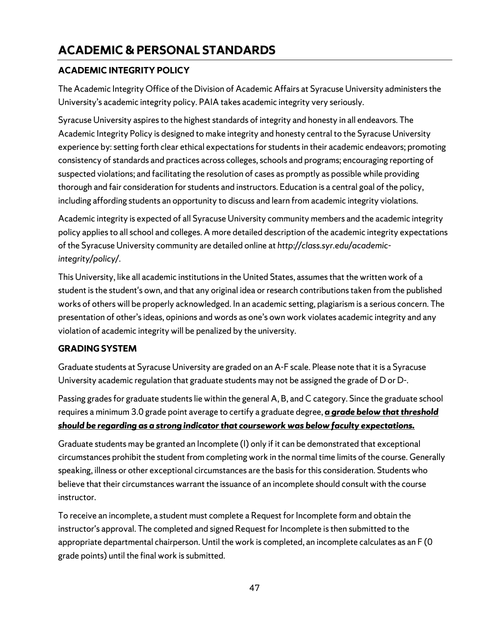## <span id="page-46-0"></span>**ACADEMIC INTEGRITY POLICY**

The Academic Integrity Office of the Division of Academic Affairs at Syracuse University administers the University's academic integrity policy. PAIA takes academic integrity very seriously.

Syracuse University aspires to the highest standards of integrity and honesty in all endeavors. The Academic Integrity Policy is designed to make integrity and honesty central to the Syracuse University experience by: setting forth clear ethical expectations for students in their academic endeavors; promoting consistency of standards and practices across colleges, schools and programs; encouraging reporting of suspected violations; and facilitating the resolution of cases as promptly as possible while providing thorough and fair consideration for students and instructors. Education is a central goal of the policy, including affording students an opportunity to discuss and learn from academic integrity violations.

Academic integrity is expected of all Syracuse University community members and the academic integrity policy applies to all school and colleges. A more detailed description of the academic integrity expectations of the Syracuse University community are detailed online at *http://class.syr.edu/academicintegrity/policy/*.

This University, like all academic institutions in the United States, assumes that the written work of a student is the student's own, and that any original idea or research contributions taken from the published works of others will be properly acknowledged. In an academic setting, plagiarism is a serious concern. The presentation of other's ideas, opinions and words as one's own work violates academic integrity and any violation of academic integrity will be penalized by the university.

## **GRADING SYSTEM**

Graduate students at Syracuse University are graded on an A-F scale. Please note that it is a Syracuse University academic regulation that graduate students may not be assigned the grade of D or D-.

Passing grades for graduate students lie within the general A, B, and C category. Since the graduate school requires a minimum 3.0 grade point average to certify a graduate degree, *a grade below that threshold should be regarding as a strong indicator that coursework was below faculty expectations.*

Graduate students may be granted an Incomplete (I) only if it can be demonstrated that exceptional circumstances prohibit the student from completing work in the normal time limits of the course. Generally speaking, illness or other exceptional circumstances are the basis for this consideration. Students who believe that their circumstances warrant the issuance of an incomplete should consult with the course instructor.

To receive an incomplete, a student must complete a Request for Incomplete form and obtain the instructor's approval. The completed and signed Request for Incomplete is then submitted to the appropriate departmental chairperson. Until the work is completed, an incomplete calculates as an F (0 grade points) until the final work is submitted.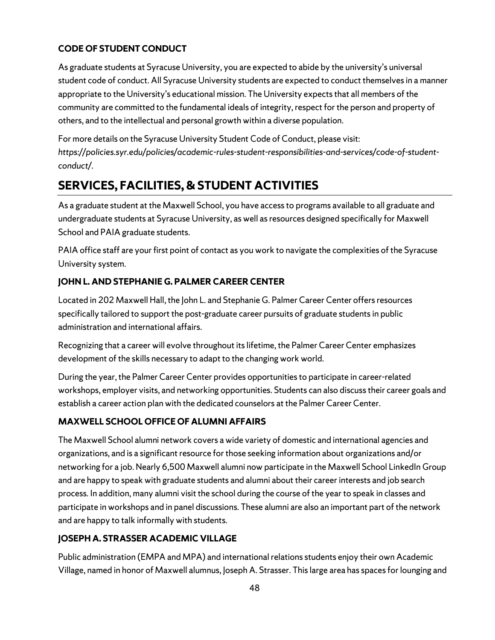# **CODE OF STUDENT CONDUCT**

As graduate students at Syracuse University, you are expected to abide by the university's universal student code of conduct. All Syracuse University students are expected to conduct themselves in a manner appropriate to the University's educational mission. The University expects that all members of the community are committed to the fundamental ideals of integrity, respect for the person and property of others, and to the intellectual and personal growth within a diverse population.

For more details on the Syracuse University Student Code of Conduct, please visit: *https://policies.syr.edu/policies/academic-rules-student-responsibilities-and-services/code-of-studentconduct/.* 

# <span id="page-47-0"></span>**SERVICES, FACILITIES, & STUDENT ACTIVITIES**

As a graduate student at the Maxwell School, you have access to programs available to all graduate and undergraduate students at Syracuse University, as well as resources designed specifically for Maxwell School and PAIA graduate students.

PAIA office staff are your first point of contact as you work to navigate the complexities of the Syracuse University system.

## **JOHN L. AND STEPHANIE G. PALMER CAREER CENTER**

Located in 202 Maxwell Hall, the John L. and Stephanie G. Palmer Career Center offers resources specifically tailored to support the post-graduate career pursuits of graduate students in public administration and international affairs.

Recognizing that a career will evolve throughout itslifetime, the Palmer Career Center emphasizes development of the skills necessary to adapt to the changing work world.

During the year, the Palmer Career Center provides opportunities to participate in career-related workshops, employer visits, and networking opportunities. Students can also discuss their career goals and establish a career action plan with the dedicated counselors at the Palmer Career Center.

## **MAXWELL SCHOOL OFFICE OF ALUMNI AFFAIRS**

The Maxwell School alumni network covers a wide variety of domestic and international agencies and organizations, and is a significant resource for those seeking information about organizations and/or networking for a job. Nearly 6,500 Maxwell alumni now participate in the Maxwell School LinkedIn Group and are happy to speak with graduate students and alumni about their career interests and job search process. In addition, many alumni visit the school during the course of the year to speak in classes and participate in workshops and in panel discussions. These alumni are also an important part of the network and are happy to talk informally with students.

## **JOSEPH A. STRASSER ACADEMIC VILLAGE**

Public administration (EMPA and MPA) and international relations students enjoy their own Academic Village, named in honor of Maxwell alumnus, Joseph A. Strasser. This large area has spaces for lounging and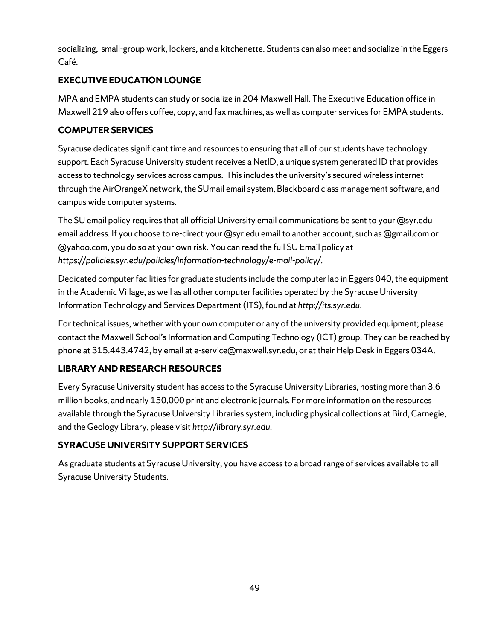socializing, small-group work, lockers, and a kitchenette. Students can also meet and socialize in the Eggers Café.

## **EXECUTIVE EDUCATION LOUNGE**

MPA and EMPA students can study or socialize in 204 Maxwell Hall. The Executive Education office in Maxwell 219 also offers coffee, copy, and fax machines, as well as computer services for EMPA students.

## **COMPUTER SERVICES**

Syracuse dedicates significant time and resources to ensuring that all of our students have technology support. Each Syracuse University student receives a NetID, a unique system generated ID that provides access to technology services across campus. This includes the university's secured wireless internet through the AirOrangeX network, the SUmail email system, Blackboard class management software, and campus wide computer systems.

The SU email policy requires that all official University email communications be sent to your @syr.edu email address. If you choose to re-direct your @syr.edu email to another account, such as @gmail.com or @yahoo.com, you do so at your own risk. You can read the full SU Email policy at *https://policies.syr.edu/policies/information-technology/e-mail-policy/*.

Dedicated computer facilities for graduate studentsinclude the computer lab in Eggers 040, the equipment in the Academic Village, as well as all other computer facilities operated by the Syracuse University Information Technology and Services Department (ITS), found at *http://its.syr.edu*.

For technical issues, whether with your own computer or any of the university provided equipment; please contact the Maxwell School's Information and Computing Technology (ICT) group. They can be reached by phone at 315.443.4742, by email a[t e-service@maxwell.syr.edu,](mailto:e-service@maxwell.syr.edu) or at their Help Desk in Eggers 034A.

# **LIBRARY AND RESEARCH RESOURCES**

Every Syracuse University student has access to the Syracuse University Libraries, hosting more than 3.6 million books, and nearly 150,000 print and electronic journals. For more information on the resources available through the Syracuse University Libraries system, including physical collections at Bird, Carnegie, and the Geology Library, please visit *http://library.syr.edu*.

# **SYRACUSE UNIVERSITY SUPPORT SERVICES**

As graduate students at Syracuse University, you have access to a broad range of services available to all Syracuse University Students.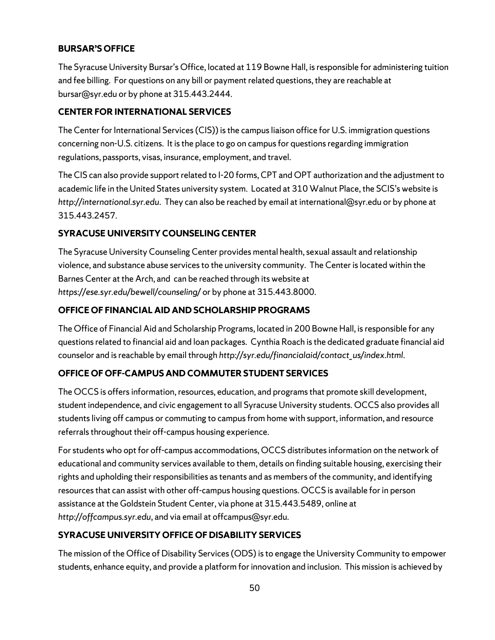## **BURSAR'S OFFICE**

The Syracuse University Bursar's Office, located at 119 Bowne Hall, is responsible for administering tuition and fee billing. For questions on any bill or payment related questions, they are reachable at bursar@syr.edu or by phone at 315.443.2444.

## **CENTER FOR INTERNATIONAL SERVICES**

The Center for International Services (CIS)) is the campus liaison office for U.S. immigration questions concerning non-U.S. citizens. It is the place to go on campus for questions regarding immigration regulations, passports, visas, insurance, employment, and travel.

The CIS can also provide support related to I-20 forms, CPT and OPT authorization and the adjustment to academic life in the United States university system. Located at 310 Walnut Place, the SCIS's website is *http://international.syr.edu*. They can also be reached by email at international@syr.edu or by phone at 315.443.2457.

# **SYRACUSE UNIVERSITY COUNSELING CENTER**

The Syracuse University Counseling Center provides mental health, sexual assault and relationship violence, and substance abuse services to the university community. The Center is located within the Barnes Center at the Arch, and can be reached through its website at *https://ese.syr.edu/bewell/counseling/* or by phone at 315.443.8000.

## **OFFICE OF FINANCIAL AID AND SCHOLARSHIP PROGRAMS**

The Office of Financial Aid and Scholarship Programs, located in 200 Bowne Hall, is responsible for any questions related to financial aid and loan packages. Cynthia Roach is the dedicated graduate financial aid counselor and is reachable by email through *http://syr.edu/financialaid/contact\_us/index.html*.

## **OFFICE OF OFF-CAMPUS AND COMMUTER STUDENT SERVICES**

The OCCS is offers information, resources, education, and programs that promote skill development, student independence, and civic engagement to all Syracuse University students. OCCS also provides all students living off campus or commuting to campus from home with support, information, and resource referrals throughout their off-campus housing experience.

For students who opt for off-campus accommodations, OCCS distributes information on the network of educational and community services available to them, details on finding suitable housing, exercising their rights and upholding their responsibilities as tenants and as members of the community, and identifying resources that can assist with other off-campus housing questions. OCCS is available for in person assistance at the Goldstein Student Center, via phone at 315.443.5489, online at *http://offcampus.syr.edu*, and via email at offcampus@syr.edu.

# **SYRACUSE UNIVERSITY OFFICE OF DISABILITY SERVICES**

The mission of the Office of Disability Services (ODS) is to engage the University Community to empower students, enhance equity, and provide a platform for innovation and inclusion. This mission is achieved by